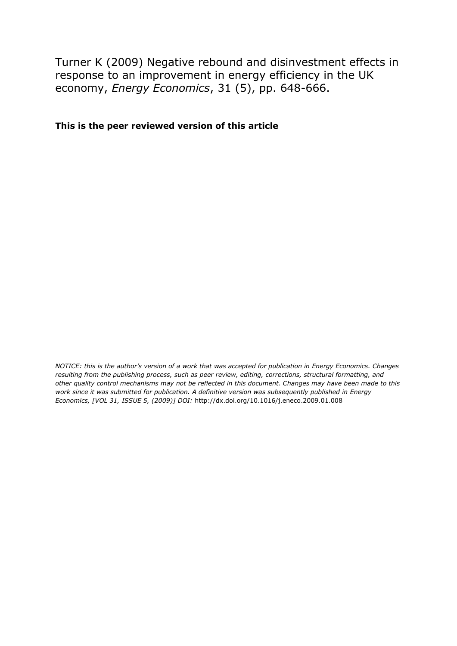Turner K (2009) Negative rebound and disinvestment effects in response to an improvement in energy efficiency in the UK economy, *Energy Economics*, 31 (5), pp. 648-666.

**This is the peer reviewed version of this article**

*NOTICE: this is the author's version of a work that was accepted for publication in Energy Economics. Changes resulting from the publishing process, such as peer review, editing, corrections, structural formatting, and other quality control mechanisms may not be reflected in this document. Changes may have been made to this work since it was submitted for publication. A definitive version was subsequently published in Energy Economics, [VOL 31, ISSUE 5, (2009)] DOI:* http://dx.doi.org/10.1016/j.eneco.2009.01.008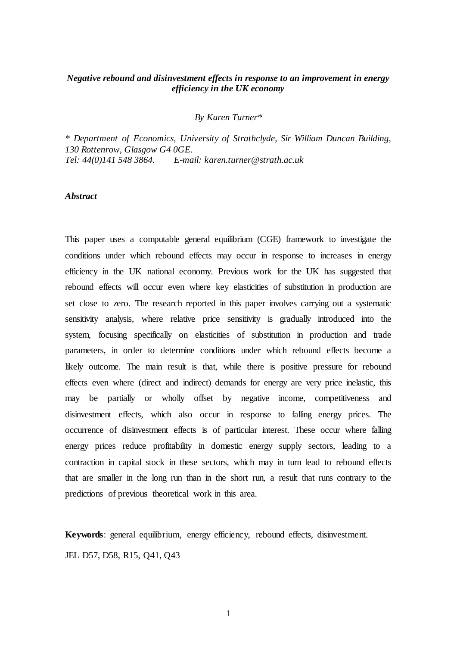# *Negative rebound and disinvestment effects in response to an improvement in energy efficiency in the UK economy*

#### *By Karen Turner\**

*\* Department of Economics, University of Strathclyde, Sir William Duncan Building, 130 Rottenrow, Glasgow G4 0GE. Tel: 44(0)141 548 3864. E-mail: karen.turner@strath.ac.uk* 

#### *Abstract*

This paper uses a computable general equilibrium (CGE) framework to investigate the conditions under which rebound effects may occur in response to increases in energy efficiency in the UK national economy. Previous work for the UK has suggested that rebound effects will occur even where key elasticities of substitution in production are set close to zero. The research reported in this paper involves carrying out a systematic sensitivity analysis, where relative price sensitivity is gradually introduced into the system, focusing specifically on elasticities of substitution in production and trade parameters, in order to determine conditions under which rebound effects become a likely outcome. The main result is that, while there is positive pressure for rebound effects even where (direct and indirect) demands for energy are very price inelastic, this may be partially or wholly offset by negative income, competitiveness and disinvestment effects, which also occur in response to falling energy prices. The occurrence of disinvestment effects is of particular interest. These occur where falling energy prices reduce profitability in domestic energy supply sectors, leading to a contraction in capital stock in these sectors, which may in turn lead to rebound effects that are smaller in the long run than in the short run, a result that runs contrary to the predictions of previous theoretical work in this area.

**Keywords**: general equilibrium, energy efficiency, rebound effects, disinvestment. JEL D57, D58, R15, Q41, Q43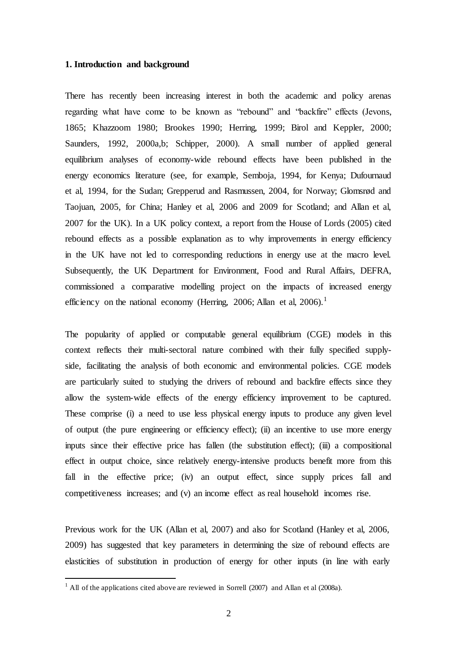#### **1. Introduction and background**

There has recently been increasing interest in both the academic and policy arenas regarding what have come to be known as "rebound" and "backfire" effects (Jevons, 1865; Khazzoom 1980; Brookes 1990; Herring, 1999; Birol and Keppler, 2000; Saunders, 1992, 2000a,b; Schipper, 2000). A small number of applied general equilibrium analyses of economy-wide rebound effects have been published in the energy economics literature (see, for example, Semboja, 1994, for Kenya; Dufournaud et al, 1994, for the Sudan; Grepperud and Rasmussen, 2004, for Norway; Glomsrød and Taojuan, 2005, for China; Hanley et al, 2006 and 2009 for Scotland; and Allan et al, 2007 for the UK). In a UK policy context, a report from the House of Lords (2005) cited rebound effects as a possible explanation as to why improvements in energy efficiency in the UK have not led to corresponding reductions in energy use at the macro level. Subsequently, the UK Department for Environment, Food and Rural Affairs, DEFRA, commissioned a comparative modelling project on the impacts of increased energy efficiency on the national economy (Herring, 2006; Allan et al,  $2006$ ).<sup>1</sup>

The popularity of applied or computable general equilibrium (CGE) models in this context reflects their multi-sectoral nature combined with their fully specified supplyside, facilitating the analysis of both economic and environmental policies. CGE models are particularly suited to studying the drivers of rebound and backfire effects since they allow the system-wide effects of the energy efficiency improvement to be captured. These comprise (i) a need to use less physical energy inputs to produce any given level of output (the pure engineering or efficiency effect); (ii) an incentive to use more energy inputs since their effective price has fallen (the substitution effect); (iii) a compositional effect in output choice, since relatively energy-intensive products benefit more from this fall in the effective price; (iv) an output effect, since supply prices fall and competitiveness increases; and (v) an income effect as real household incomes rise.

Previous work for the UK (Allan et al, 2007) and also for Scotland (Hanley et al, 2006, 2009) has suggested that key parameters in determining the size of rebound effects are elasticities of substitution in production of energy for other inputs (in line with early

<sup>&</sup>lt;sup>1</sup> All of the applications cited above are reviewed in Sorrell (2007) and Allan et al (2008a).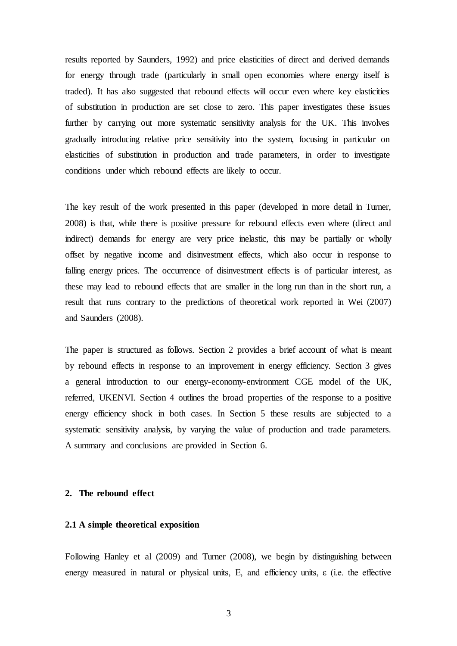results reported by Saunders, 1992) and price elasticities of direct and derived demands for energy through trade (particularly in small open economies where energy itself is traded). It has also suggested that rebound effects will occur even where key elasticities of substitution in production are set close to zero. This paper investigates these issues further by carrying out more systematic sensitivity analysis for the UK. This involves gradually introducing relative price sensitivity into the system, focusing in particular on elasticities of substitution in production and trade parameters, in order to investigate conditions under which rebound effects are likely to occur.

The key result of the work presented in this paper (developed in more detail in Turner, 2008) is that, while there is positive pressure for rebound effects even where (direct and indirect) demands for energy are very price inelastic, this may be partially or wholly offset by negative income and disinvestment effects, which also occur in response to falling energy prices. The occurrence of disinvestment effects is of particular interest, as these may lead to rebound effects that are smaller in the long run than in the short run, a result that runs contrary to the predictions of theoretical work reported in Wei (2007) and Saunders (2008).

The paper is structured as follows. Section 2 provides a brief account of what is meant by rebound effects in response to an improvement in energy efficiency. Section 3 gives a general introduction to our energy-economy-environment CGE model of the UK, referred, UKENVI. Section 4 outlines the broad properties of the response to a positive energy efficiency shock in both cases. In Section 5 these results are subjected to a systematic sensitivity analysis, by varying the value of production and trade parameters. A summary and conclusions are provided in Section 6.

#### **2. The rebound effect**

#### **2.1 A simple theoretical exposition**

Following Hanley et al (2009) and Turner (2008), we begin by distinguishing between energy measured in natural or physical units, E, and efficiency units, ε (i.e. the effective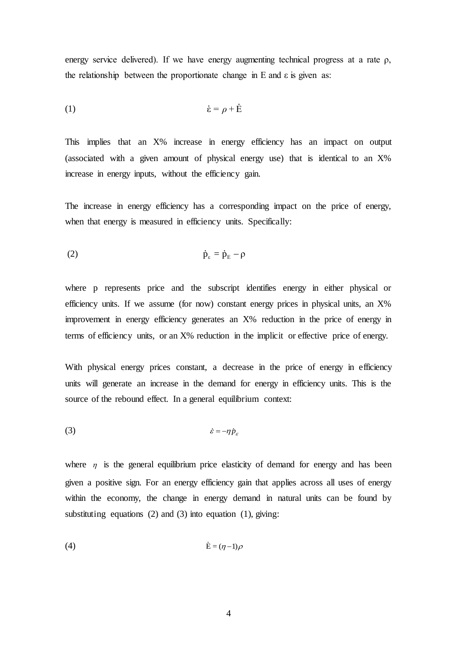energy service delivered). If we have energy augmenting technical progress at a rate  $\rho$ , the relationship between the proportionate change in E and  $\varepsilon$  is given as:

$$
\dot{\varepsilon} = \rho + \dot{E}
$$

This implies that an X% increase in energy efficiency has an impact on output (associated with a given amount of physical energy use) that is identical to an  $X\%$ increase in energy inputs, without the efficiency gain.

The increase in energy efficiency has a corresponding impact on the price of energy, when that energy is measured in efficiency units. Specifically:

$$
\dot{\mathbf{p}}_{\varepsilon} = \dot{\mathbf{p}}_{\varepsilon} - \rho
$$

where p represents price and the subscript identifies energy in either physical or efficiency units. If we assume (for now) constant energy prices in physical units, an X% improvement in energy efficiency generates an X% reduction in the price of energy in terms of efficiency units, or an X% reduction in the implicit or effective price of energy.

With physical energy prices constant, a decrease in the price of energy in efficiency units will generate an increase in the demand for energy in efficiency units. This is the source of the rebound effect. In a general equilibrium context:

$$
\dot{\varepsilon} = -\eta \dot{p}_{\varepsilon}
$$

where  $\eta$  is the general equilibrium price elasticity of demand for energy and has been given a positive sign. For an energy efficiency gain that applies across all uses of energy within the economy, the change in energy demand in natural units can be found by substituting equations  $(2)$  and  $(3)$  into equation  $(1)$ , giving:

$$
(4) \qquad \qquad \dot{E} = (\eta - 1)\rho
$$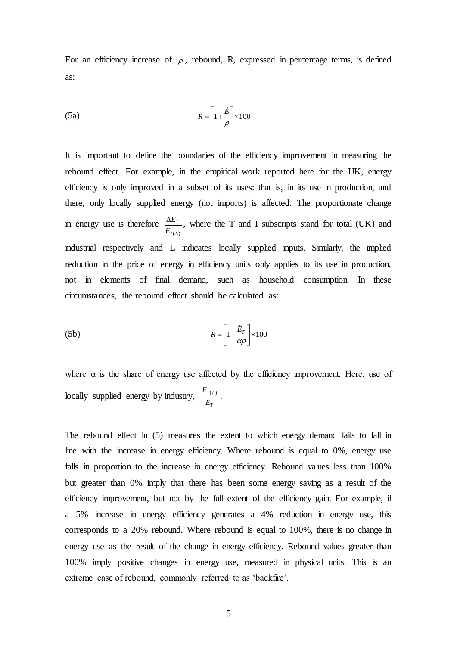For an efficiency increase of  $\rho$ , rebound, R, expressed in percentage terms, is defined as:

(5a) 
$$
R = \left[1 + \frac{\dot{E}}{\rho}\right] \times 100
$$

It is important to define the boundaries of the efficiency improvement in measuring the rebound effect. For example, in the empirical work reported here for the UK, energy efficiency is only improved in a subset of its uses: that is, in its use in production, and there, only locally supplied energy (not imports) is affected. The proportionate change in energy use is therefore  $(L)$ *T I L E E*  $\frac{\Delta E_T}{E}$ , where the T and I subscripts stand for total (UK) and industrial respectively and L indicates locally supplied inputs. Similarly, the implied reduction in the price of energy in efficiency units only applies to its use in production, not in elements of final demand, such as household consumption. In these circumstances, the rebound effect should be calculated as:

(5b) 
$$
R = \left[1 + \frac{\dot{E}_T}{\alpha \rho}\right] \times 100
$$

where  $\alpha$  is the share of energy use affected by the efficiency improvement. Here, use of locally supplied energy by industry,  $\frac{E_I(L)}{R}$ *T E*  $\frac{T(L)}{E_T}$  .

The rebound effect in (5) measures the extent to which energy demand fails to fall in line with the increase in energy efficiency. Where rebound is equal to 0%, energy use falls in proportion to the increase in energy efficiency. Rebound values less than 100% but greater than 0% imply that there has been some energy saving as a result of the efficiency improvement, but not by the full extent of the efficiency gain. For example, if a 5% increase in energy efficiency generates a 4% reduction in energy use, this corresponds to a 20% rebound. Where rebound is equal to 100%, there is no change in energy use as the result of the change in energy efficiency. Rebound values greater than 100% imply positive changes in energy use, measured in physical units. This is an extreme case of rebound, commonly referred to as 'backfire'.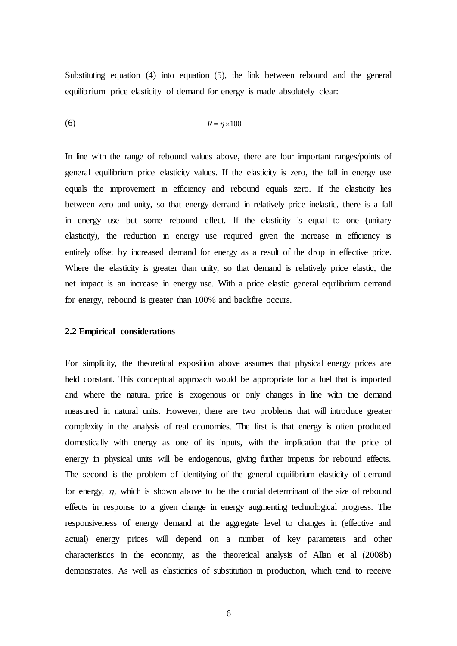Substituting equation (4) into equation (5), the link between rebound and the general equilibrium price elasticity of demand for energy is made absolutely clear:

$$
(6) \t\t R = \eta \times 100
$$

In line with the range of rebound values above, there are four important ranges/points of general equilibrium price elasticity values. If the elasticity is zero, the fall in energy use equals the improvement in efficiency and rebound equals zero. If the elasticity lies between zero and unity, so that energy demand in relatively price inelastic, there is a fall in energy use but some rebound effect. If the elasticity is equal to one (unitary elasticity), the reduction in energy use required given the increase in efficiency is entirely offset by increased demand for energy as a result of the drop in effective price. Where the elasticity is greater than unity, so that demand is relatively price elastic, the net impact is an increase in energy use. With a price elastic general equilibrium demand for energy, rebound is greater than 100% and backfire occurs.

#### **2.2 Empirical considerations**

For simplicity, the theoretical exposition above assumes that physical energy prices are held constant. This conceptual approach would be appropriate for a fuel that is imported and where the natural price is exogenous or only changes in line with the demand measured in natural units. However, there are two problems that will introduce greater complexity in the analysis of real economies. The first is that energy is often produced domestically with energy as one of its inputs, with the implication that the price of energy in physical units will be endogenous, giving further impetus for rebound effects. The second is the problem of identifying of the general equilibrium elasticity of demand for energy,  $\eta$ , which is shown above to be the crucial determinant of the size of rebound effects in response to a given change in energy augmenting technological progress. The responsiveness of energy demand at the aggregate level to changes in (effective and actual) energy prices will depend on a number of key parameters and other characteristics in the economy, as the theoretical analysis of Allan et al (2008b) demonstrates. As well as elasticities of substitution in production, which tend to receive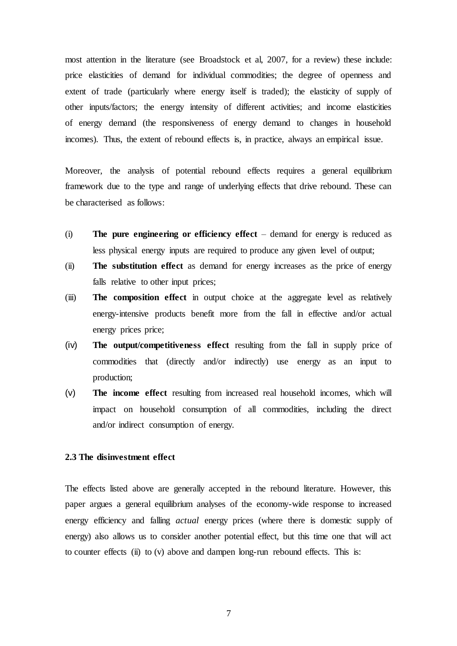most attention in the literature (see Broadstock et al, 2007, for a review) these include: price elasticities of demand for individual commodities; the degree of openness and extent of trade (particularly where energy itself is traded); the elasticity of supply of other inputs/factors; the energy intensity of different activities; and income elasticities of energy demand (the responsiveness of energy demand to changes in household incomes). Thus, the extent of rebound effects is, in practice, always an empirical issue.

Moreover, the analysis of potential rebound effects requires a general equilibrium framework due to the type and range of underlying effects that drive rebound. These can be characterised as follows:

- (i) **The pure engineering or efficiency effect** demand for energy is reduced as less physical energy inputs are required to produce any given level of output;
- (ii) **The substitution effect** as demand for energy increases as the price of energy falls relative to other input prices;
- (iii) **The composition effect** in output choice at the aggregate level as relatively energy-intensive products benefit more from the fall in effective and/or actual energy prices price;
- (iv) **The output/competitiveness effect** resulting from the fall in supply price of commodities that (directly and/or indirectly) use energy as an input to production;
- (v) **The income effect** resulting from increased real household incomes, which will impact on household consumption of all commodities, including the direct and/or indirect consumption of energy.

# **2.3 The disinvestment effect**

The effects listed above are generally accepted in the rebound literature. However, this paper argues a general equilibrium analyses of the economy-wide response to increased energy efficiency and falling *actual* energy prices (where there is domestic supply of energy) also allows us to consider another potential effect, but this time one that will act to counter effects (ii) to (v) above and dampen long-run rebound effects. This is: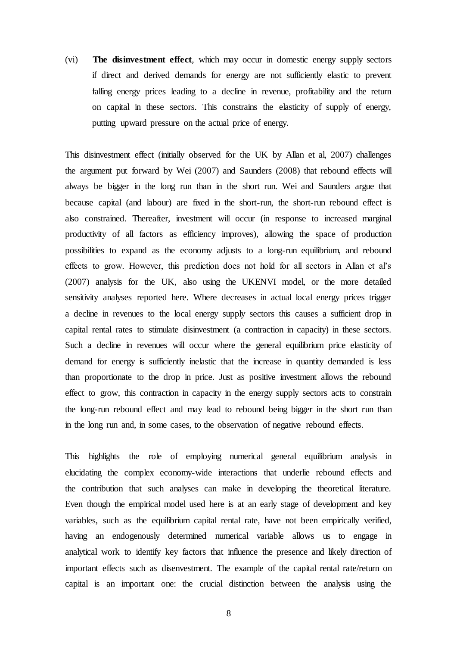(vi) **The disinvestment effect**, which may occur in domestic energy supply sectors if direct and derived demands for energy are not sufficiently elastic to prevent falling energy prices leading to a decline in revenue, profitability and the return on capital in these sectors. This constrains the elasticity of supply of energy, putting upward pressure on the actual price of energy.

This disinvestment effect (initially observed for the UK by Allan et al, 2007) challenges the argument put forward by Wei (2007) and Saunders (2008) that rebound effects will always be bigger in the long run than in the short run. Wei and Saunders argue that because capital (and labour) are fixed in the short-run, the short-run rebound effect is also constrained. Thereafter, investment will occur (in response to increased marginal productivity of all factors as efficiency improves), allowing the space of production possibilities to expand as the economy adjusts to a long-run equilibrium, and rebound effects to grow. However, this prediction does not hold for all sectors in Allan et al's (2007) analysis for the UK, also using the UKENVI model, or the more detailed sensitivity analyses reported here. Where decreases in actual local energy prices trigger a decline in revenues to the local energy supply sectors this causes a sufficient drop in capital rental rates to stimulate disinvestment (a contraction in capacity) in these sectors. Such a decline in revenues will occur where the general equilibrium price elasticity of demand for energy is sufficiently inelastic that the increase in quantity demanded is less than proportionate to the drop in price. Just as positive investment allows the rebound effect to grow, this contraction in capacity in the energy supply sectors acts to constrain the long-run rebound effect and may lead to rebound being bigger in the short run than in the long run and, in some cases, to the observation of negative rebound effects.

This highlights the role of employing numerical general equilibrium analysis in elucidating the complex economy-wide interactions that underlie rebound effects and the contribution that such analyses can make in developing the theoretical literature. Even though the empirical model used here is at an early stage of development and key variables, such as the equilibrium capital rental rate, have not been empirically verified, having an endogenously determined numerical variable allows us to engage in analytical work to identify key factors that influence the presence and likely direction of important effects such as disenvestment. The example of the capital rental rate/return on capital is an important one: the crucial distinction between the analysis using the

8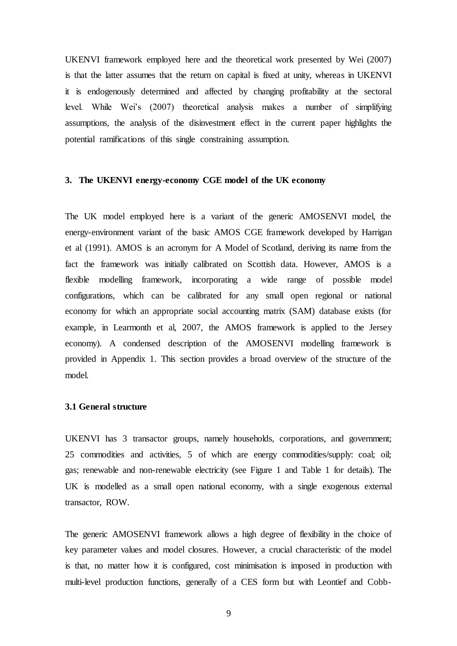UKENVI framework employed here and the theoretical work presented by Wei (2007) is that the latter assumes that the return on capital is fixed at unity, whereas in UKENVI it is endogenously determined and affected by changing profitability at the sectoral level. While Wei's (2007) theoretical analysis makes a number of simplifying assumptions, the analysis of the disinvestment effect in the current paper highlights the potential ramifications of this single constraining assumption.

#### **3. The UKENVI energy-economy CGE model of the UK economy**

The UK model employed here is a variant of the generic AMOSENVI model, the energy-environment variant of the basic AMOS CGE framework developed by Harrigan et al (1991). AMOS is an acronym for A Model of Scotland, deriving its name from the fact the framework was initially calibrated on Scottish data. However, AMOS is a flexible modelling framework, incorporating a wide range of possible model configurations, which can be calibrated for any small open regional or national economy for which an appropriate social accounting matrix (SAM) database exists (for example, in Learmonth et al, 2007, the AMOS framework is applied to the Jersey economy). A condensed description of the AMOSENVI modelling framework is provided in Appendix 1. This section provides a broad overview of the structure of the model.

#### **3.1 General structure**

UKENVI has 3 transactor groups, namely households, corporations, and government; 25 commodities and activities, 5 of which are energy commodities/supply: coal; oil; gas; renewable and non-renewable electricity (see Figure 1 and Table 1 for details). The UK is modelled as a small open national economy, with a single exogenous external transactor, ROW.

The generic AMOSENVI framework allows a high degree of flexibility in the choice of key parameter values and model closures. However, a crucial characteristic of the model is that, no matter how it is configured, cost minimisation is imposed in production with multi-level production functions, generally of a CES form but with Leontief and Cobb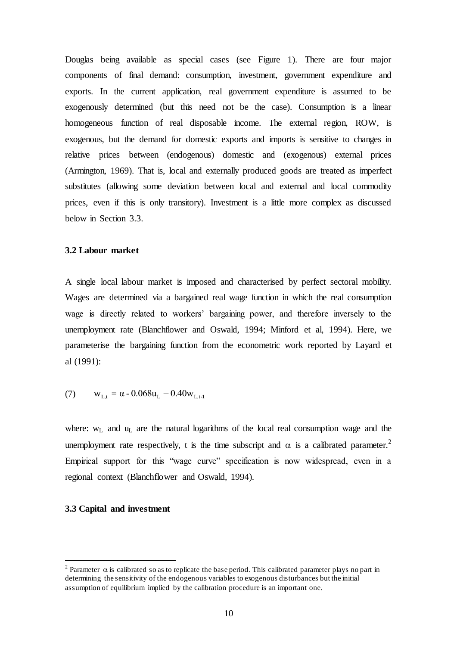Douglas being available as special cases (see Figure 1). There are four major components of final demand: consumption, investment, government expenditure and exports. In the current application, real government expenditure is assumed to be exogenously determined (but this need not be the case). Consumption is a linear homogeneous function of real disposable income. The external region, ROW, is exogenous, but the demand for domestic exports and imports is sensitive to changes in relative prices between (endogenous) domestic and (exogenous) external prices (Armington, 1969). That is, local and externally produced goods are treated as imperfect substitutes (allowing some deviation between local and external and local commodity prices, even if this is only transitory). Investment is a little more complex as discussed below in Section 3.3.

#### **3.2 Labour market**

A single local labour market is imposed and characterised by perfect sectoral mobility. Wages are determined via a bargained real wage function in which the real consumption wage is directly related to workers' bargaining power, and therefore inversely to the unemployment rate (Blanchflower and Oswald, 1994; Minford et al, 1994). Here, we parameterise the bargaining function from the econometric work reported by Layard et al (1991):

(7) 
$$
w_{L,t} = \alpha - 0.068u_L + 0.40w_{L,t-1}
$$

where:  $w_L$  and  $u_L$  are the natural logarithms of the local real consumption wage and the unemployment rate respectively, t is the time subscript and  $\alpha$  is a calibrated parameter.<sup>2</sup> Empirical support for this "wage curve" specification is now widespread, even in a regional context (Blanchflower and Oswald, 1994).

# **3.3 Capital and investment**

<sup>&</sup>lt;sup>2</sup> Parameter  $\alpha$  is calibrated so as to replicate the base period. This calibrated parameter plays no part in determining the sensitivity of the endogenous variables to exogenous disturbances but the initial assumption of equilibrium implied by the calibration procedure is an important one.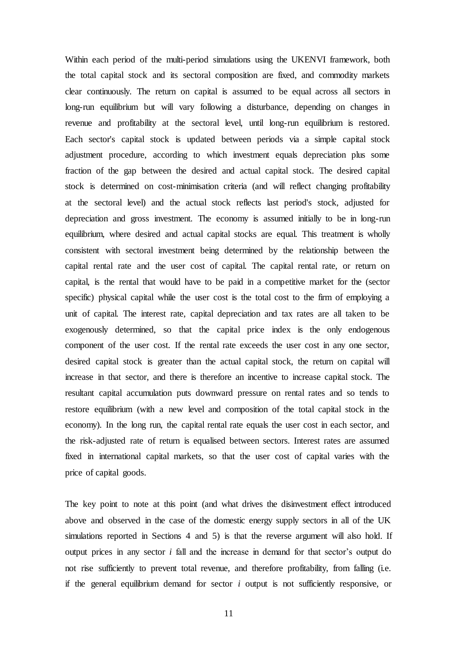Within each period of the multi-period simulations using the UKENVI framework, both the total capital stock and its sectoral composition are fixed, and commodity markets clear continuously. The return on capital is assumed to be equal across all sectors in long-run equilibrium but will vary following a disturbance, depending on changes in revenue and profitability at the sectoral level, until long-run equilibrium is restored. Each sector's capital stock is updated between periods via a simple capital stock adjustment procedure, according to which investment equals depreciation plus some fraction of the gap between the desired and actual capital stock. The desired capital stock is determined on cost-minimisation criteria (and will reflect changing profitability at the sectoral level) and the actual stock reflects last period's stock, adjusted for depreciation and gross investment. The economy is assumed initially to be in long-run equilibrium, where desired and actual capital stocks are equal. This treatment is wholly consistent with sectoral investment being determined by the relationship between the capital rental rate and the user cost of capital. The capital rental rate, or return on capital, is the rental that would have to be paid in a competitive market for the (sector specific) physical capital while the user cost is the total cost to the firm of employing a unit of capital. The interest rate, capital depreciation and tax rates are all taken to be exogenously determined, so that the capital price index is the only endogenous component of the user cost. If the rental rate exceeds the user cost in any one sector, desired capital stock is greater than the actual capital stock, the return on capital will increase in that sector, and there is therefore an incentive to increase capital stock. The resultant capital accumulation puts downward pressure on rental rates and so tends to restore equilibrium (with a new level and composition of the total capital stock in the economy). In the long run, the capital rental rate equals the user cost in each sector, and the risk-adjusted rate of return is equalised between sectors. Interest rates are assumed fixed in international capital markets, so that the user cost of capital varies with the price of capital goods.

The key point to note at this point (and what drives the disinvestment effect introduced above and observed in the case of the domestic energy supply sectors in all of the UK simulations reported in Sections 4 and 5) is that the reverse argument will also hold. If output prices in any sector *i* fall and the increase in demand for that sector's output do not rise sufficiently to prevent total revenue, and therefore profitability, from falling (i.e. if the general equilibrium demand for sector *i* output is not sufficiently responsive, or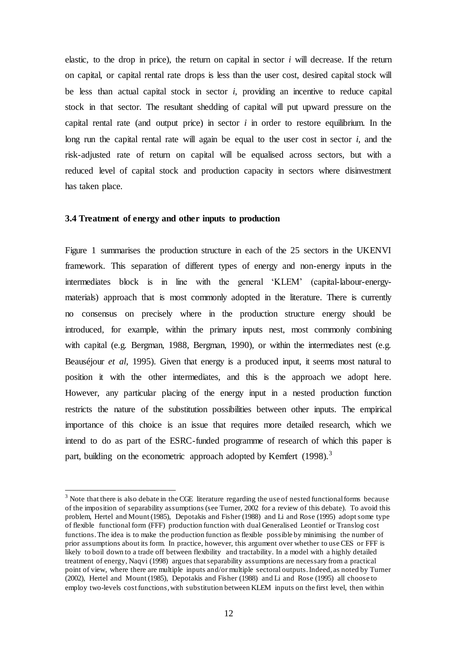elastic, to the drop in price), the return on capital in sector *i* will decrease. If the return on capital, or capital rental rate drops is less than the user cost, desired capital stock will be less than actual capital stock in sector *i*, providing an incentive to reduce capital stock in that sector. The resultant shedding of capital will put upward pressure on the capital rental rate (and output price) in sector *i* in order to restore equilibrium. In the long run the capital rental rate will again be equal to the user cost in sector *i*, and the risk-adjusted rate of return on capital will be equalised across sectors, but with a reduced level of capital stock and production capacity in sectors where disinvestment has taken place.

### **3.4 Treatment of energy and other inputs to production**

 $\overline{a}$ 

Figure 1 summarises the production structure in each of the 25 sectors in the UKENVI framework. This separation of different types of energy and non-energy inputs in the intermediates block is in line with the general 'KLEM' (capital-labour-energymaterials) approach that is most commonly adopted in the literature. There is currently no consensus on precisely where in the production structure energy should be introduced, for example, within the primary inputs nest, most commonly combining with capital (e.g. Bergman, 1988, Bergman, 1990), or within the intermediates nest (e.g. Beauséjour *et al*, 1995). Given that energy is a produced input, it seems most natural to position it with the other intermediates, and this is the approach we adopt here. However, any particular placing of the energy input in a nested production function restricts the nature of the substitution possibilities between other inputs. The empirical importance of this choice is an issue that requires more detailed research, which we intend to do as part of the ESRC-funded programme of research of which this paper is part, building on the econometric approach adopted by Kemfert (1998).<sup>3</sup>

<sup>&</sup>lt;sup>3</sup> Note that there is also debate in the CGE literature regarding the use of nested functional forms because of the imposition of separability assumptions (see Turner, 2002 for a review of this debate). To avoid this problem, Hertel and Mount (1985), Depotakis and Fisher (1988) and Li and Rose (1995) adopt some type of flexible functional form (FFF) production function with dual Generalised Leontief or Translog cost functions. The idea is to make the production function as flexible possible by minimising the number of prior assumptions about its form. In practice, however, this argument over whether to use CES or FFF is likely to boil down to a trade off between flexibility and tractability. In a model with a highly detailed treatment of energy, Naqvi (1998) argues that separability assumptions are necessary from a practical point of view, where there are multiple inputs and/or multiple sectoral outputs. Indeed, as noted by Turner (2002), Hertel and Mount (1985), Depotakis and Fisher (1988) and Li and Rose (1995) all choose to employ two-levels cost functions, with substitution between KLEM inputs on the first level, then within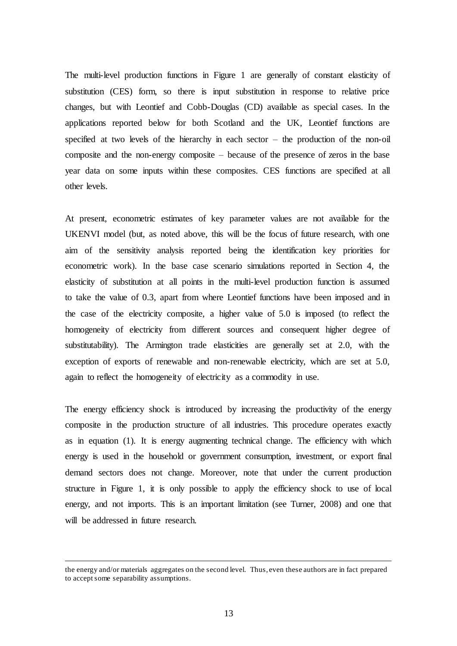The multi-level production functions in Figure 1 are generally of constant elasticity of substitution (CES) form, so there is input substitution in response to relative price changes, but with Leontief and Cobb-Douglas (CD) available as special cases. In the applications reported below for both Scotland and the UK, Leontief functions are specified at two levels of the hierarchy in each sector – the production of the non-oil composite and the non-energy composite – because of the presence of zeros in the base year data on some inputs within these composites. CES functions are specified at all other levels.

At present, econometric estimates of key parameter values are not available for the UKENVI model (but, as noted above, this will be the focus of future research, with one aim of the sensitivity analysis reported being the identification key priorities for econometric work). In the base case scenario simulations reported in Section 4, the elasticity of substitution at all points in the multi-level production function is assumed to take the value of 0.3, apart from where Leontief functions have been imposed and in the case of the electricity composite, a higher value of 5.0 is imposed (to reflect the homogeneity of electricity from different sources and consequent higher degree of substitutability). The Armington trade elasticities are generally set at 2.0, with the exception of exports of renewable and non-renewable electricity, which are set at 5.0, again to reflect the homogeneity of electricity as a commodity in use.

The energy efficiency shock is introduced by increasing the productivity of the energy composite in the production structure of all industries. This procedure operates exactly as in equation (1). It is energy augmenting technical change. The efficiency with which energy is used in the household or government consumption, investment, or export final demand sectors does not change. Moreover, note that under the current production structure in Figure 1, it is only possible to apply the efficiency shock to use of local energy, and not imports. This is an important limitation (see Turner, 2008) and one that will be addressed in future research.

the energy and/or materials aggregates on the second level. Thus, even these authors are in fact prepared to accept some separability assumptions.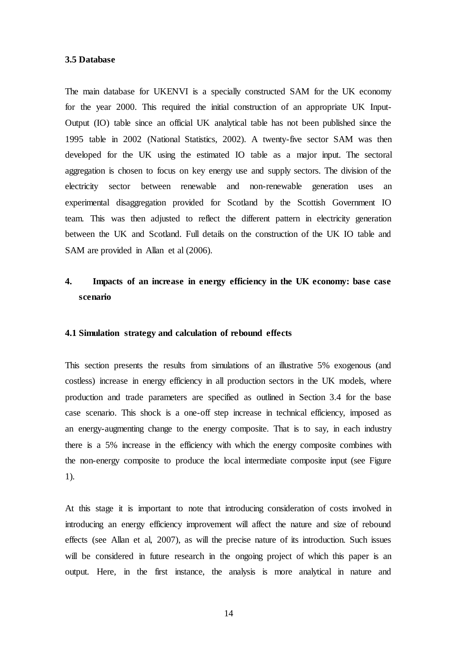#### **3.5 Database**

The main database for UKENVI is a specially constructed SAM for the UK economy for the year 2000. This required the initial construction of an appropriate UK Input-Output (IO) table since an official UK analytical table has not been published since the 1995 table in 2002 (National Statistics, 2002). A twenty-five sector SAM was then developed for the UK using the estimated IO table as a major input. The sectoral aggregation is chosen to focus on key energy use and supply sectors. The division of the electricity sector between renewable and non-renewable generation uses an experimental disaggregation provided for Scotland by the Scottish Government IO team. This was then adjusted to reflect the different pattern in electricity generation between the UK and Scotland. Full details on the construction of the UK IO table and SAM are provided in Allan et al (2006).

# **4. Impacts of an increase in energy efficiency in the UK economy: base case scenario**

#### **4.1 Simulation strategy and calculation of rebound effects**

This section presents the results from simulations of an illustrative 5% exogenous (and costless) increase in energy efficiency in all production sectors in the UK models, where production and trade parameters are specified as outlined in Section 3.4 for the base case scenario. This shock is a one-off step increase in technical efficiency, imposed as an energy-augmenting change to the energy composite. That is to say, in each industry there is a 5% increase in the efficiency with which the energy composite combines with the non-energy composite to produce the local intermediate composite input (see Figure 1).

At this stage it is important to note that introducing consideration of costs involved in introducing an energy efficiency improvement will affect the nature and size of rebound effects (see Allan et al, 2007), as will the precise nature of its introduction. Such issues will be considered in future research in the ongoing project of which this paper is an output. Here, in the first instance, the analysis is more analytical in nature and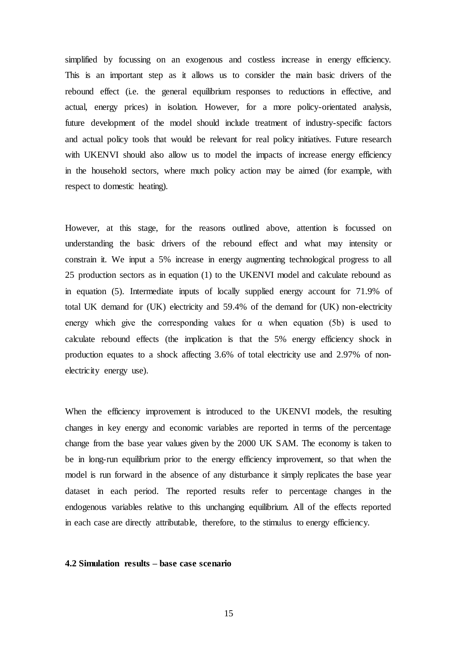simplified by focussing on an exogenous and costless increase in energy efficiency. This is an important step as it allows us to consider the main basic drivers of the rebound effect (i.e. the general equilibrium responses to reductions in effective, and actual, energy prices) in isolation. However, for a more policy-orientated analysis, future development of the model should include treatment of industry-specific factors and actual policy tools that would be relevant for real policy initiatives. Future research with UKENVI should also allow us to model the impacts of increase energy efficiency in the household sectors, where much policy action may be aimed (for example, with respect to domestic heating).

However, at this stage, for the reasons outlined above, attention is focussed on understanding the basic drivers of the rebound effect and what may intensity or constrain it. We input a 5% increase in energy augmenting technological progress to all 25 production sectors as in equation (1) to the UKENVI model and calculate rebound as in equation (5). Intermediate inputs of locally supplied energy account for 71.9% of total UK demand for (UK) electricity and 59.4% of the demand for (UK) non-electricity energy which give the corresponding values for  $\alpha$  when equation (5b) is used to calculate rebound effects (the implication is that the 5% energy efficiency shock in production equates to a shock affecting 3.6% of total electricity use and 2.97% of nonelectricity energy use).

When the efficiency improvement is introduced to the UKENVI models, the resulting changes in key energy and economic variables are reported in terms of the percentage change from the base year values given by the 2000 UK SAM. The economy is taken to be in long-run equilibrium prior to the energy efficiency improvement, so that when the model is run forward in the absence of any disturbance it simply replicates the base year dataset in each period. The reported results refer to percentage changes in the endogenous variables relative to this unchanging equilibrium. All of the effects reported in each case are directly attributable, therefore, to the stimulus to energy efficiency.

#### **4.2 Simulation results – base case scenario**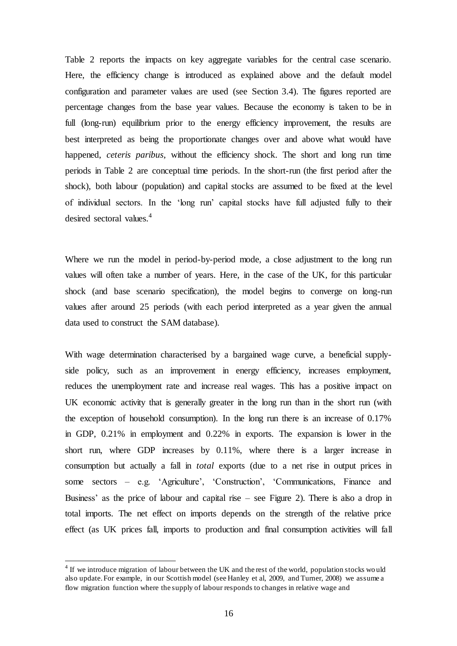Table 2 reports the impacts on key aggregate variables for the central case scenario. Here, the efficiency change is introduced as explained above and the default model configuration and parameter values are used (see Section 3.4). The figures reported are percentage changes from the base year values. Because the economy is taken to be in full (long-run) equilibrium prior to the energy efficiency improvement, the results are best interpreted as being the proportionate changes over and above what would have happened, *ceteris paribus*, without the efficiency shock. The short and long run time periods in Table 2 are conceptual time periods. In the short-run (the first period after the shock), both labour (population) and capital stocks are assumed to be fixed at the level of individual sectors. In the 'long run' capital stocks have full adjusted fully to their desired sectoral values.<sup>4</sup>

Where we run the model in period-by-period mode, a close adjustment to the long run values will often take a number of years. Here, in the case of the UK, for this particular shock (and base scenario specification), the model begins to converge on long-run values after around 25 periods (with each period interpreted as a year given the annual data used to construct the SAM database).

With wage determination characterised by a bargained wage curve, a beneficial supplyside policy, such as an improvement in energy efficiency, increases employment, reduces the unemployment rate and increase real wages. This has a positive impact on UK economic activity that is generally greater in the long run than in the short run (with the exception of household consumption). In the long run there is an increase of 0.17% in GDP, 0.21% in employment and 0.22% in exports. The expansion is lower in the short run, where GDP increases by 0.11%, where there is a larger increase in consumption but actually a fall in *total* exports (due to a net rise in output prices in some sectors – e.g. 'Agriculture', 'Construction', 'Communications, Finance and Business' as the price of labour and capital rise – see Figure 2). There is also a drop in total imports. The net effect on imports depends on the strength of the relative price effect (as UK prices fall, imports to production and final consumption activities will fall

 $4$  If we introduce migration of labour between the UK and the rest of the world, population stocks wo uld also update. For example, in our Scottish model (see Hanley et al, 2009, and Turner, 2008) we assume a flow migration function where the supply of labour responds to changes in relative wage and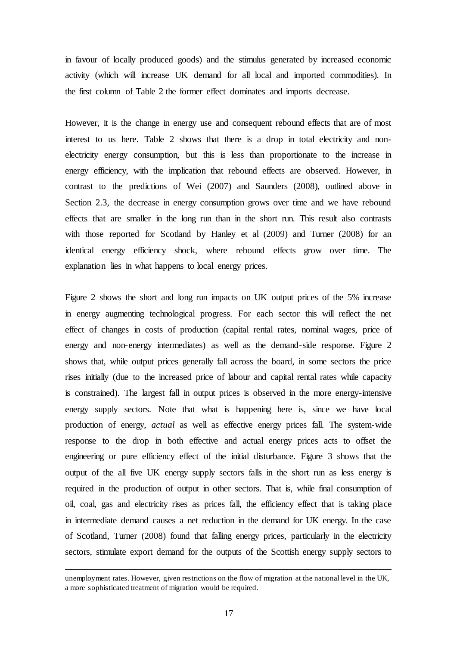in favour of locally produced goods) and the stimulus generated by increased economic activity (which will increase UK demand for all local and imported commodities). In the first column of Table 2 the former effect dominates and imports decrease.

However, it is the change in energy use and consequent rebound effects that are of most interest to us here. Table 2 shows that there is a drop in total electricity and nonelectricity energy consumption, but this is less than proportionate to the increase in energy efficiency, with the implication that rebound effects are observed. However, in contrast to the predictions of Wei (2007) and Saunders (2008), outlined above in Section 2.3, the decrease in energy consumption grows over time and we have rebound effects that are smaller in the long run than in the short run. This result also contrasts with those reported for Scotland by Hanley et al (2009) and Turner (2008) for an identical energy efficiency shock, where rebound effects grow over time. The explanation lies in what happens to local energy prices.

Figure 2 shows the short and long run impacts on UK output prices of the 5% increase in energy augmenting technological progress. For each sector this will reflect the net effect of changes in costs of production (capital rental rates, nominal wages, price of energy and non-energy intermediates) as well as the demand-side response. Figure 2 shows that, while output prices generally fall across the board, in some sectors the price rises initially (due to the increased price of labour and capital rental rates while capacity is constrained). The largest fall in output prices is observed in the more energy-intensive energy supply sectors. Note that what is happening here is, since we have local production of energy, *actual* as well as effective energy prices fall. The system-wide response to the drop in both effective and actual energy prices acts to offset the engineering or pure efficiency effect of the initial disturbance. Figure 3 shows that the output of the all five UK energy supply sectors falls in the short run as less energy is required in the production of output in other sectors. That is, while final consumption of oil, coal, gas and electricity rises as prices fall, the efficiency effect that is taking place in intermediate demand causes a net reduction in the demand for UK energy. In the case of Scotland, Turner (2008) found that falling energy prices, particularly in the electricity sectors, stimulate export demand for the outputs of the Scottish energy supply sectors to

unemployment rates. However, given restrictions on the flow of migration at the national level in the UK, a more sophisticated treatment of migration would be required.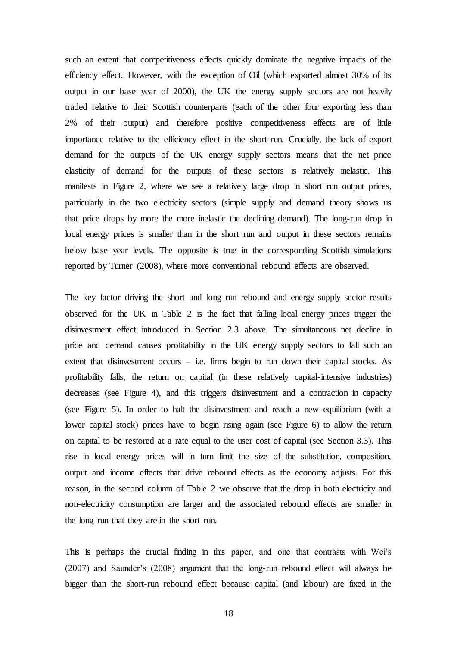such an extent that competitiveness effects quickly dominate the negative impacts of the efficiency effect. However, with the exception of Oil (which exported almost 30% of its output in our base year of 2000), the UK the energy supply sectors are not heavily traded relative to their Scottish counterparts (each of the other four exporting less than 2% of their output) and therefore positive competitiveness effects are of little importance relative to the efficiency effect in the short-run. Crucially, the lack of export demand for the outputs of the UK energy supply sectors means that the net price elasticity of demand for the outputs of these sectors is relatively inelastic. This manifests in Figure 2, where we see a relatively large drop in short run output prices, particularly in the two electricity sectors (simple supply and demand theory shows us that price drops by more the more inelastic the declining demand). The long-run drop in local energy prices is smaller than in the short run and output in these sectors remains below base year levels. The opposite is true in the corresponding Scottish simulations reported by Turner (2008), where more conventional rebound effects are observed.

The key factor driving the short and long run rebound and energy supply sector results observed for the UK in Table 2 is the fact that falling local energy prices trigger the disinvestment effect introduced in Section 2.3 above. The simultaneous net decline in price and demand causes profitability in the UK energy supply sectors to fall such an extent that disinvestment occurs  $-$  i.e. firms begin to run down their capital stocks. As profitability falls, the return on capital (in these relatively capital-intensive industries) decreases (see Figure 4), and this triggers disinvestment and a contraction in capacity (see Figure 5). In order to halt the disinvestment and reach a new equilibrium (with a lower capital stock) prices have to begin rising again (see Figure 6) to allow the return on capital to be restored at a rate equal to the user cost of capital (see Section 3.3). This rise in local energy prices will in turn limit the size of the substitution, composition, output and income effects that drive rebound effects as the economy adjusts. For this reason, in the second column of Table 2 we observe that the drop in both electricity and non-electricity consumption are larger and the associated rebound effects are smaller in the long run that they are in the short run.

This is perhaps the crucial finding in this paper, and one that contrasts with Wei's (2007) and Saunder's (2008) argument that the long-run rebound effect will always be bigger than the short-run rebound effect because capital (and labour) are fixed in the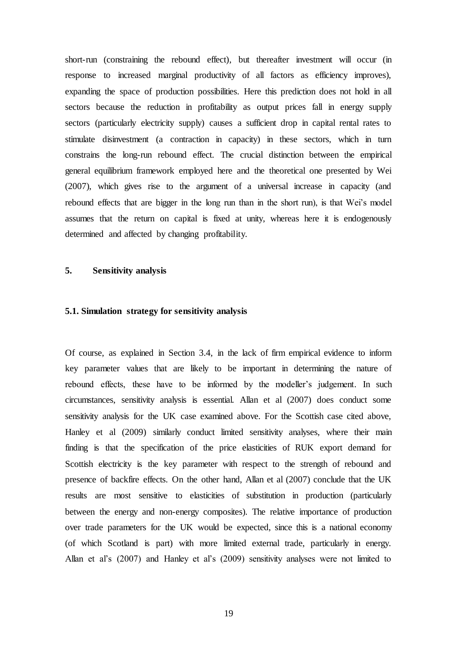short-run (constraining the rebound effect), but thereafter investment will occur (in response to increased marginal productivity of all factors as efficiency improves), expanding the space of production possibilities. Here this prediction does not hold in all sectors because the reduction in profitability as output prices fall in energy supply sectors (particularly electricity supply) causes a sufficient drop in capital rental rates to stimulate disinvestment (a contraction in capacity) in these sectors, which in turn constrains the long-run rebound effect. The crucial distinction between the empirical general equilibrium framework employed here and the theoretical one presented by Wei (2007), which gives rise to the argument of a universal increase in capacity (and rebound effects that are bigger in the long run than in the short run), is that Wei's model assumes that the return on capital is fixed at unity, whereas here it is endogenously determined and affected by changing profitability.

### **5. Sensitivity analysis**

#### **5.1. Simulation strategy for sensitivity analysis**

Of course, as explained in Section 3.4, in the lack of firm empirical evidence to inform key parameter values that are likely to be important in determining the nature of rebound effects, these have to be informed by the modeller's judgement. In such circumstances, sensitivity analysis is essential. Allan et al (2007) does conduct some sensitivity analysis for the UK case examined above. For the Scottish case cited above, Hanley et al (2009) similarly conduct limited sensitivity analyses, where their main finding is that the specification of the price elasticities of RUK export demand for Scottish electricity is the key parameter with respect to the strength of rebound and presence of backfire effects. On the other hand, Allan et al (2007) conclude that the UK results are most sensitive to elasticities of substitution in production (particularly between the energy and non-energy composites). The relative importance of production over trade parameters for the UK would be expected, since this is a national economy (of which Scotland is part) with more limited external trade, particularly in energy. Allan et al's (2007) and Hanley et al's (2009) sensitivity analyses were not limited to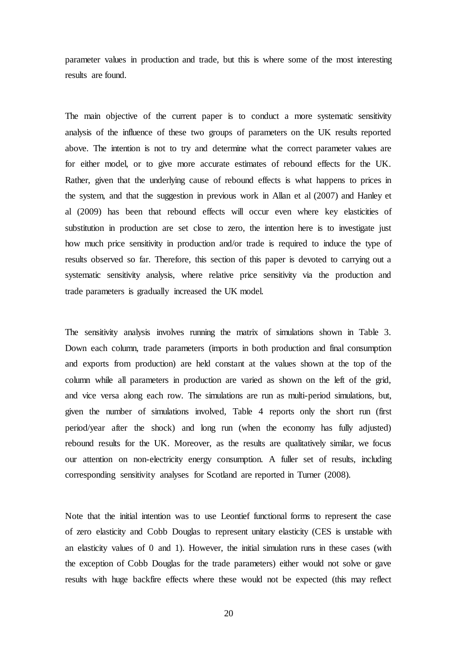parameter values in production and trade, but this is where some of the most interesting results are found.

The main objective of the current paper is to conduct a more systematic sensitivity analysis of the influence of these two groups of parameters on the UK results reported above. The intention is not to try and determine what the correct parameter values are for either model, or to give more accurate estimates of rebound effects for the UK. Rather, given that the underlying cause of rebound effects is what happens to prices in the system, and that the suggestion in previous work in Allan et al (2007) and Hanley et al (2009) has been that rebound effects will occur even where key elasticities of substitution in production are set close to zero, the intention here is to investigate just how much price sensitivity in production and/or trade is required to induce the type of results observed so far. Therefore, this section of this paper is devoted to carrying out a systematic sensitivity analysis, where relative price sensitivity via the production and trade parameters is gradually increased the UK model.

The sensitivity analysis involves running the matrix of simulations shown in Table 3. Down each column, trade parameters (imports in both production and final consumption and exports from production) are held constant at the values shown at the top of the column while all parameters in production are varied as shown on the left of the grid, and vice versa along each row. The simulations are run as multi-period simulations, but, given the number of simulations involved, Table 4 reports only the short run (first period/year after the shock) and long run (when the economy has fully adjusted) rebound results for the UK. Moreover, as the results are qualitatively similar, we focus our attention on non-electricity energy consumption. A fuller set of results, including corresponding sensitivity analyses for Scotland are reported in Turner (2008).

Note that the initial intention was to use Leontief functional forms to represent the case of zero elasticity and Cobb Douglas to represent unitary elasticity (CES is unstable with an elasticity values of 0 and 1). However, the initial simulation runs in these cases (with the exception of Cobb Douglas for the trade parameters) either would not solve or gave results with huge backfire effects where these would not be expected (this may reflect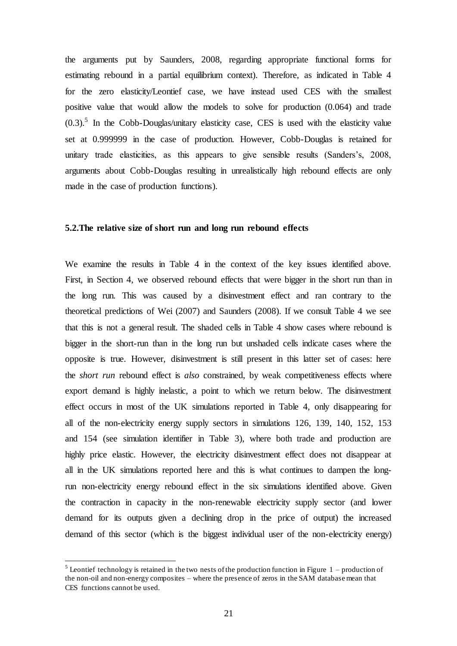the arguments put by Saunders, 2008, regarding appropriate functional forms for estimating rebound in a partial equilibrium context). Therefore, as indicated in Table 4 for the zero elasticity/Leontief case, we have instead used CES with the smallest positive value that would allow the models to solve for production (0.064) and trade  $(0.3)$ .<sup>5</sup> In the Cobb-Douglas/unitary elasticity case, CES is used with the elasticity value set at 0.999999 in the case of production. However, Cobb-Douglas is retained for unitary trade elasticities, as this appears to give sensible results (Sanders's, 2008, arguments about Cobb-Douglas resulting in unrealistically high rebound effects are only made in the case of production functions).

#### **5.2.The relative size of short run and long run rebound effects**

We examine the results in Table 4 in the context of the key issues identified above. First, in Section 4, we observed rebound effects that were bigger in the short run than in the long run. This was caused by a disinvestment effect and ran contrary to the theoretical predictions of Wei (2007) and Saunders (2008). If we consult Table 4 we see that this is not a general result. The shaded cells in Table 4 show cases where rebound is bigger in the short-run than in the long run but unshaded cells indicate cases where the opposite is true. However, disinvestment is still present in this latter set of cases: here the *short run* rebound effect is *also* constrained, by weak competitiveness effects where export demand is highly inelastic, a point to which we return below. The disinvestment effect occurs in most of the UK simulations reported in Table 4, only disappearing for all of the non-electricity energy supply sectors in simulations 126, 139, 140, 152, 153 and 154 (see simulation identifier in Table 3), where both trade and production are highly price elastic. However, the electricity disinvestment effect does not disappear at all in the UK simulations reported here and this is what continues to dampen the longrun non-electricity energy rebound effect in the six simulations identified above. Given the contraction in capacity in the non-renewable electricity supply sector (and lower demand for its outputs given a declining drop in the price of output) the increased demand of this sector (which is the biggest individual user of the non-electricity energy)

<sup>&</sup>lt;sup>5</sup> Leontief technology is retained in the two nests of the production function in Figure  $1$  – production of the non-oil and non-energy composites – where the presence of zeros in the SAM database mean that CES functions cannot be used.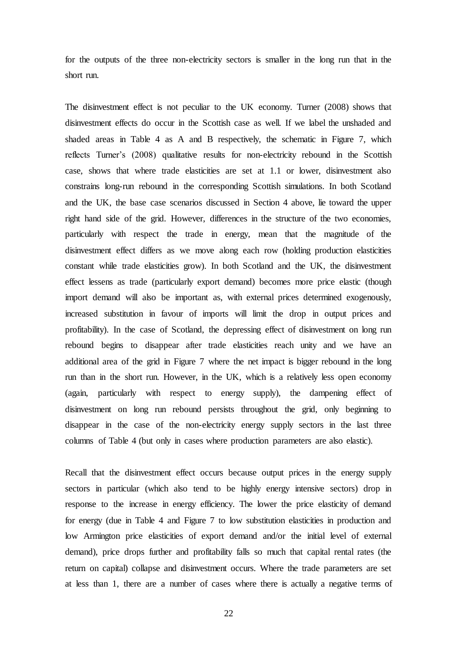for the outputs of the three non-electricity sectors is smaller in the long run that in the short run.

The disinvestment effect is not peculiar to the UK economy. Turner (2008) shows that disinvestment effects do occur in the Scottish case as well. If we label the unshaded and shaded areas in Table 4 as A and B respectively, the schematic in Figure 7, which reflects Turner's (2008) qualitative results for non-electricity rebound in the Scottish case, shows that where trade elasticities are set at 1.1 or lower, disinvestment also constrains long-run rebound in the corresponding Scottish simulations. In both Scotland and the UK, the base case scenarios discussed in Section 4 above, lie toward the upper right hand side of the grid. However, differences in the structure of the two economies, particularly with respect the trade in energy, mean that the magnitude of the disinvestment effect differs as we move along each row (holding production elasticities constant while trade elasticities grow). In both Scotland and the UK, the disinvestment effect lessens as trade (particularly export demand) becomes more price elastic (though import demand will also be important as, with external prices determined exogenously, increased substitution in favour of imports will limit the drop in output prices and profitability). In the case of Scotland, the depressing effect of disinvestment on long run rebound begins to disappear after trade elasticities reach unity and we have an additional area of the grid in Figure 7 where the net impact is bigger rebound in the long run than in the short run. However, in the UK, which is a relatively less open economy (again, particularly with respect to energy supply), the dampening effect of disinvestment on long run rebound persists throughout the grid, only beginning to disappear in the case of the non-electricity energy supply sectors in the last three columns of Table 4 (but only in cases where production parameters are also elastic).

Recall that the disinvestment effect occurs because output prices in the energy supply sectors in particular (which also tend to be highly energy intensive sectors) drop in response to the increase in energy efficiency. The lower the price elasticity of demand for energy (due in Table 4 and Figure 7 to low substitution elasticities in production and low Armington price elasticities of export demand and/or the initial level of external demand), price drops further and profitability falls so much that capital rental rates (the return on capital) collapse and disinvestment occurs. Where the trade parameters are set at less than 1, there are a number of cases where there is actually a negative terms of

22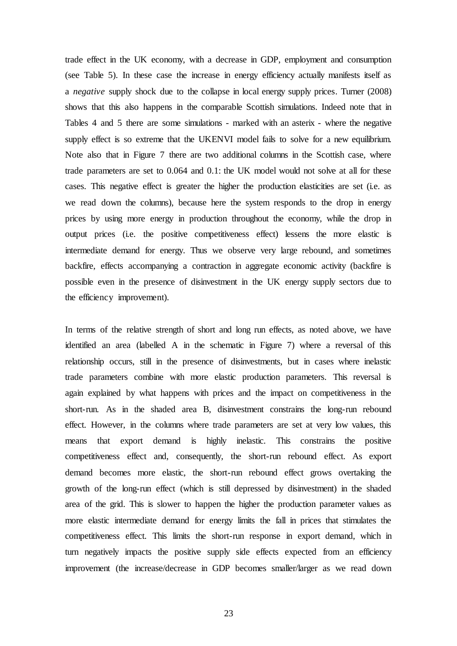trade effect in the UK economy, with a decrease in GDP, employment and consumption (see Table 5). In these case the increase in energy efficiency actually manifests itself as a *negative* supply shock due to the collapse in local energy supply prices. Turner (2008) shows that this also happens in the comparable Scottish simulations. Indeed note that in Tables 4 and 5 there are some simulations - marked with an asterix - where the negative supply effect is so extreme that the UKENVI model fails to solve for a new equilibrium. Note also that in Figure 7 there are two additional columns in the Scottish case, where trade parameters are set to 0.064 and 0.1: the UK model would not solve at all for these cases. This negative effect is greater the higher the production elasticities are set (i.e. as we read down the columns), because here the system responds to the drop in energy prices by using more energy in production throughout the economy, while the drop in output prices (i.e. the positive competitiveness effect) lessens the more elastic is intermediate demand for energy. Thus we observe very large rebound, and sometimes backfire, effects accompanying a contraction in aggregate economic activity (backfire is possible even in the presence of disinvestment in the UK energy supply sectors due to the efficiency improvement).

In terms of the relative strength of short and long run effects, as noted above, we have identified an area (labelled A in the schematic in Figure 7) where a reversal of this relationship occurs, still in the presence of disinvestments, but in cases where inelastic trade parameters combine with more elastic production parameters. This reversal is again explained by what happens with prices and the impact on competitiveness in the short-run. As in the shaded area B, disinvestment constrains the long-run rebound effect. However, in the columns where trade parameters are set at very low values, this means that export demand is highly inelastic. This constrains the positive competitiveness effect and, consequently, the short-run rebound effect. As export demand becomes more elastic, the short-run rebound effect grows overtaking the growth of the long-run effect (which is still depressed by disinvestment) in the shaded area of the grid. This is slower to happen the higher the production parameter values as more elastic intermediate demand for energy limits the fall in prices that stimulates the competitiveness effect. This limits the short-run response in export demand, which in turn negatively impacts the positive supply side effects expected from an efficiency improvement (the increase/decrease in GDP becomes smaller/larger as we read down

23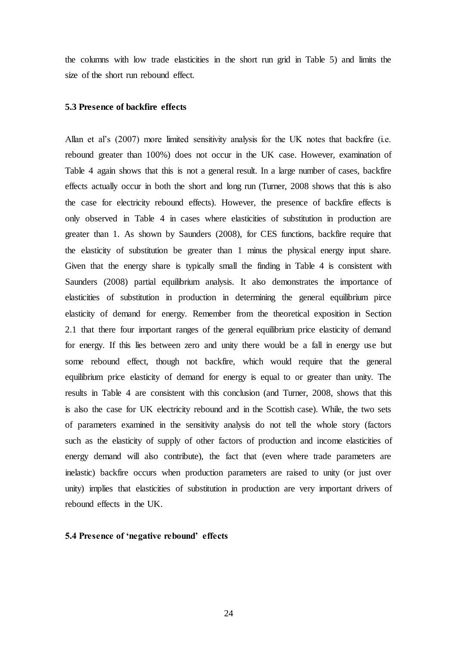the columns with low trade elasticities in the short run grid in Table 5) and limits the size of the short run rebound effect.

### **5.3 Presence of backfire effects**

Allan et al's (2007) more limited sensitivity analysis for the UK notes that backfire (i.e. rebound greater than 100%) does not occur in the UK case. However, examination of Table 4 again shows that this is not a general result. In a large number of cases, backfire effects actually occur in both the short and long run (Turner, 2008 shows that this is also the case for electricity rebound effects). However, the presence of backfire effects is only observed in Table 4 in cases where elasticities of substitution in production are greater than 1. As shown by Saunders (2008), for CES functions, backfire require that the elasticity of substitution be greater than 1 minus the physical energy input share. Given that the energy share is typically small the finding in Table 4 is consistent with Saunders (2008) partial equilibrium analysis. It also demonstrates the importance of elasticities of substitution in production in determining the general equilibrium pirce elasticity of demand for energy. Remember from the theoretical exposition in Section 2.1 that there four important ranges of the general equilibrium price elasticity of demand for energy. If this lies between zero and unity there would be a fall in energy use but some rebound effect, though not backfire, which would require that the general equilibrium price elasticity of demand for energy is equal to or greater than unity. The results in Table 4 are consistent with this conclusion (and Turner, 2008, shows that this is also the case for UK electricity rebound and in the Scottish case). While, the two sets of parameters examined in the sensitivity analysis do not tell the whole story (factors such as the elasticity of supply of other factors of production and income elasticities of energy demand will also contribute), the fact that (even where trade parameters are inelastic) backfire occurs when production parameters are raised to unity (or just over unity) implies that elasticities of substitution in production are very important drivers of rebound effects in the UK.

#### **5.4 Presence of 'negative rebound' effects**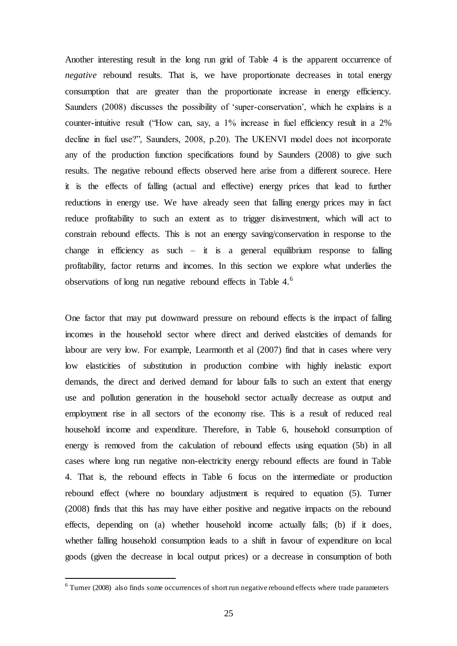Another interesting result in the long run grid of Table 4 is the apparent occurrence of *negative* rebound results. That is, we have proportionate decreases in total energy consumption that are greater than the proportionate increase in energy efficiency. Saunders (2008) discusses the possibility of 'super-conservation', which he explains is a counter-intuitive result ("How can, say, a 1% increase in fuel efficiency result in a 2% decline in fuel use?", Saunders, 2008, p.20). The UKENVI model does not incorporate any of the production function specifications found by Saunders (2008) to give such results. The negative rebound effects observed here arise from a different sourece. Here it is the effects of falling (actual and effective) energy prices that lead to further reductions in energy use. We have already seen that falling energy prices may in fact reduce profitability to such an extent as to trigger disinvestment, which will act to constrain rebound effects. This is not an energy saving/conservation in response to the change in efficiency as such  $-$  it is a general equilibrium response to falling profitability, factor returns and incomes. In this section we explore what underlies the observations of long run negative rebound effects in Table 4.<sup>6</sup>

One factor that may put downward pressure on rebound effects is the impact of falling incomes in the household sector where direct and derived elastcities of demands for labour are very low. For example, Learmonth et al (2007) find that in cases where very low elasticities of substitution in production combine with highly inelastic export demands, the direct and derived demand for labour falls to such an extent that energy use and pollution generation in the household sector actually decrease as output and employment rise in all sectors of the economy rise. This is a result of reduced real household income and expenditure. Therefore, in Table 6, household consumption of energy is removed from the calculation of rebound effects using equation (5b) in all cases where long run negative non-electricity energy rebound effects are found in Table 4. That is, the rebound effects in Table 6 focus on the intermediate or production rebound effect (where no boundary adjustment is required to equation (5). Turner (2008) finds that this has may have either positive and negative impacts on the rebound effects, depending on (a) whether household income actually falls; (b) if it does, whether falling household consumption leads to a shift in favour of expenditure on local goods (given the decrease in local output prices) or a decrease in consumption of both

 $6$  Turner (2008) also finds some occurrences of short run negative rebound effects where trade parameters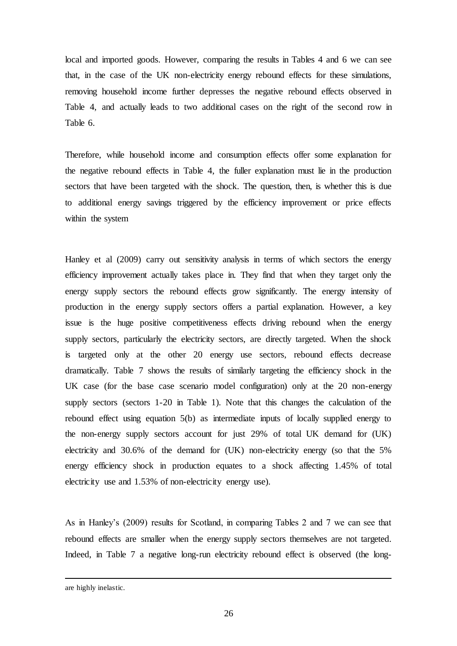local and imported goods. However, comparing the results in Tables 4 and 6 we can see that, in the case of the UK non-electricity energy rebound effects for these simulations, removing household income further depresses the negative rebound effects observed in Table 4, and actually leads to two additional cases on the right of the second row in Table 6.

Therefore, while household income and consumption effects offer some explanation for the negative rebound effects in Table 4, the fuller explanation must lie in the production sectors that have been targeted with the shock. The question, then, is whether this is due to additional energy savings triggered by the efficiency improvement or price effects within the system

Hanley et al (2009) carry out sensitivity analysis in terms of which sectors the energy efficiency improvement actually takes place in. They find that when they target only the energy supply sectors the rebound effects grow significantly. The energy intensity of production in the energy supply sectors offers a partial explanation. However, a key issue is the huge positive competitiveness effects driving rebound when the energy supply sectors, particularly the electricity sectors, are directly targeted. When the shock is targeted only at the other 20 energy use sectors, rebound effects decrease dramatically. Table 7 shows the results of similarly targeting the efficiency shock in the UK case (for the base case scenario model configuration) only at the 20 non-energy supply sectors (sectors 1-20 in Table 1). Note that this changes the calculation of the rebound effect using equation 5(b) as intermediate inputs of locally supplied energy to the non-energy supply sectors account for just 29% of total UK demand for (UK) electricity and 30.6% of the demand for (UK) non-electricity energy (so that the 5% energy efficiency shock in production equates to a shock affecting 1.45% of total electricity use and 1.53% of non-electricity energy use).

As in Hanley's (2009) results for Scotland, in comparing Tables 2 and 7 we can see that rebound effects are smaller when the energy supply sectors themselves are not targeted. Indeed, in Table 7 a negative long-run electricity rebound effect is observed (the long-

are highly inelastic.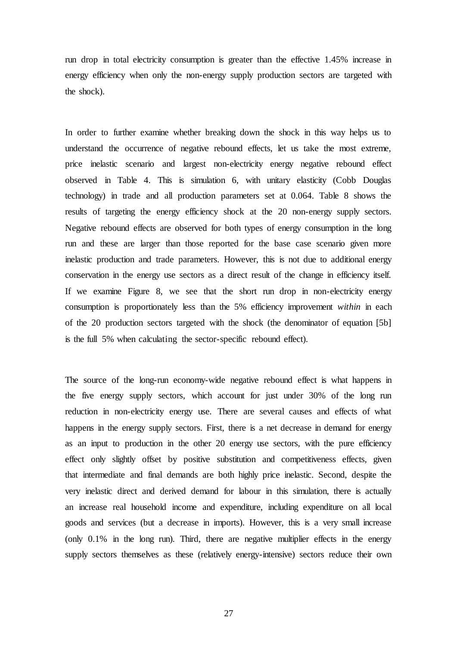run drop in total electricity consumption is greater than the effective 1.45% increase in energy efficiency when only the non-energy supply production sectors are targeted with the shock).

In order to further examine whether breaking down the shock in this way helps us to understand the occurrence of negative rebound effects, let us take the most extreme, price inelastic scenario and largest non-electricity energy negative rebound effect observed in Table 4. This is simulation 6, with unitary elasticity (Cobb Douglas technology) in trade and all production parameters set at 0.064. Table 8 shows the results of targeting the energy efficiency shock at the 20 non-energy supply sectors. Negative rebound effects are observed for both types of energy consumption in the long run and these are larger than those reported for the base case scenario given more inelastic production and trade parameters. However, this is not due to additional energy conservation in the energy use sectors as a direct result of the change in efficiency itself. If we examine Figure 8, we see that the short run drop in non-electricity energy consumption is proportionately less than the 5% efficiency improvement *within* in each of the 20 production sectors targeted with the shock (the denominator of equation [5b] is the full 5% when calculating the sector-specific rebound effect).

The source of the long-run economy-wide negative rebound effect is what happens in the five energy supply sectors, which account for just under 30% of the long run reduction in non-electricity energy use. There are several causes and effects of what happens in the energy supply sectors. First, there is a net decrease in demand for energy as an input to production in the other 20 energy use sectors, with the pure efficiency effect only slightly offset by positive substitution and competitiveness effects, given that intermediate and final demands are both highly price inelastic. Second, despite the very inelastic direct and derived demand for labour in this simulation, there is actually an increase real household income and expenditure, including expenditure on all local goods and services (but a decrease in imports). However, this is a very small increase (only 0.1% in the long run). Third, there are negative multiplier effects in the energy supply sectors themselves as these (relatively energy-intensive) sectors reduce their own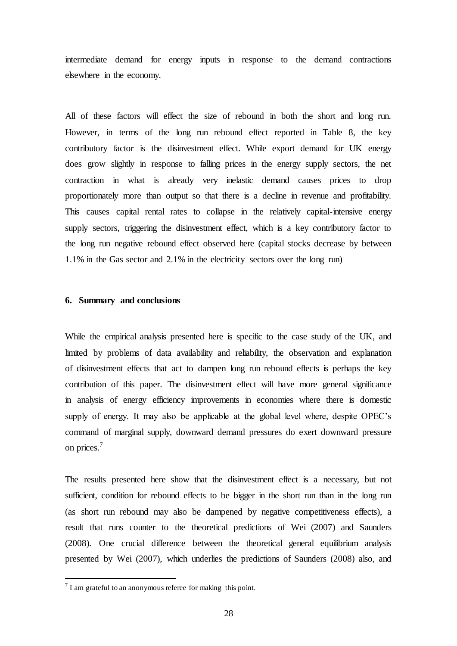intermediate demand for energy inputs in response to the demand contractions elsewhere in the economy.

All of these factors will effect the size of rebound in both the short and long run. However, in terms of the long run rebound effect reported in Table 8, the key contributory factor is the disinvestment effect. While export demand for UK energy does grow slightly in response to falling prices in the energy supply sectors, the net contraction in what is already very inelastic demand causes prices to drop proportionately more than output so that there is a decline in revenue and profitability. This causes capital rental rates to collapse in the relatively capital-intensive energy supply sectors, triggering the disinvestment effect, which is a key contributory factor to the long run negative rebound effect observed here (capital stocks decrease by between 1.1% in the Gas sector and 2.1% in the electricity sectors over the long run)

#### **6. Summary and conclusions**

While the empirical analysis presented here is specific to the case study of the UK, and limited by problems of data availability and reliability, the observation and explanation of disinvestment effects that act to dampen long run rebound effects is perhaps the key contribution of this paper. The disinvestment effect will have more general significance in analysis of energy efficiency improvements in economies where there is domestic supply of energy. It may also be applicable at the global level where, despite OPEC's command of marginal supply, downward demand pressures do exert downward pressure on prices.<sup>7</sup>

The results presented here show that the disinvestment effect is a necessary, but not sufficient, condition for rebound effects to be bigger in the short run than in the long run (as short run rebound may also be dampened by negative competitiveness effects), a result that runs counter to the theoretical predictions of Wei (2007) and Saunders (2008). One crucial difference between the theoretical general equilibrium analysis presented by Wei (2007), which underlies the predictions of Saunders (2008) also, and

 $7$  I am grateful to an anonymous referee for making this point.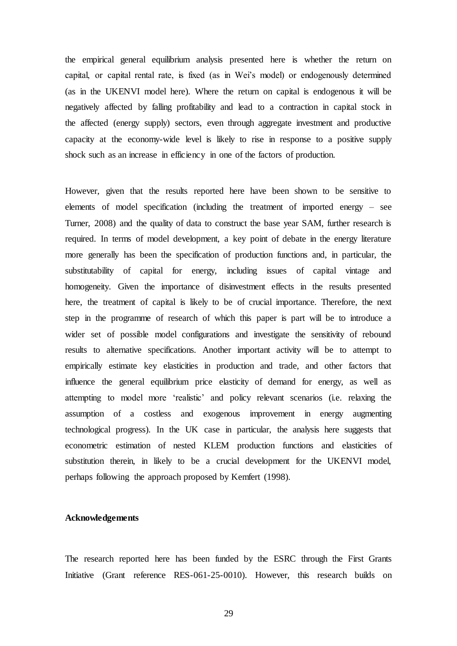the empirical general equilibrium analysis presented here is whether the return on capital, or capital rental rate, is fixed (as in Wei's model) or endogenously determined (as in the UKENVI model here). Where the return on capital is endogenous it will be negatively affected by falling profitability and lead to a contraction in capital stock in the affected (energy supply) sectors, even through aggregate investment and productive capacity at the economy-wide level is likely to rise in response to a positive supply shock such as an increase in efficiency in one of the factors of production.

However, given that the results reported here have been shown to be sensitive to elements of model specification (including the treatment of imported energy – see Turner, 2008) and the quality of data to construct the base year SAM, further research is required. In terms of model development, a key point of debate in the energy literature more generally has been the specification of production functions and, in particular, the substitutability of capital for energy, including issues of capital vintage and homogeneity. Given the importance of disinvestment effects in the results presented here, the treatment of capital is likely to be of crucial importance. Therefore, the next step in the programme of research of which this paper is part will be to introduce a wider set of possible model configurations and investigate the sensitivity of rebound results to alternative specifications. Another important activity will be to attempt to empirically estimate key elasticities in production and trade, and other factors that influence the general equilibrium price elasticity of demand for energy, as well as attempting to model more 'realistic' and policy relevant scenarios (i.e. relaxing the assumption of a costless and exogenous improvement in energy augmenting technological progress). In the UK case in particular, the analysis here suggests that econometric estimation of nested KLEM production functions and elasticities of substitution therein, in likely to be a crucial development for the UKENVI model, perhaps following the approach proposed by Kemfert (1998).

# **Acknowledgements**

The research reported here has been funded by the ESRC through the First Grants Initiative (Grant reference RES-061-25-0010). However, this research builds on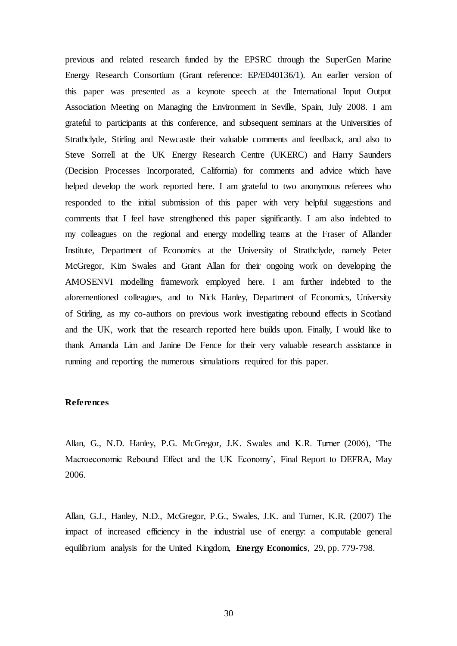previous and related research funded by the EPSRC through the SuperGen Marine Energy Research Consortium (Grant reference: EP/E040136/1). An earlier version of this paper was presented as a keynote speech at the International Input Output Association Meeting on Managing the Environment in Seville, Spain, July 2008. I am grateful to participants at this conference, and subsequent seminars at the Universities of Strathclyde, Stirling and Newcastle their valuable comments and feedback, and also to Steve Sorrell at the UK Energy Research Centre (UKERC) and Harry Saunders (Decision Processes Incorporated, California) for comments and advice which have helped develop the work reported here. I am grateful to two anonymous referees who responded to the initial submission of this paper with very helpful suggestions and comments that I feel have strengthened this paper significantly. I am also indebted to my colleagues on the regional and energy modelling teams at the Fraser of Allander Institute, Department of Economics at the University of Strathclyde, namely Peter McGregor, Kim Swales and Grant Allan for their ongoing work on developing the AMOSENVI modelling framework employed here. I am further indebted to the aforementioned colleagues, and to Nick Hanley, Department of Economics, University of Stirling, as my co-authors on previous work investigating rebound effects in Scotland and the UK, work that the research reported here builds upon. Finally, I would like to thank Amanda Lim and Janine De Fence for their very valuable research assistance in running and reporting the numerous simulations required for this paper.

#### **References**

Allan, G., N.D. Hanley, P.G. McGregor, J.K. Swales and K.R. Turner (2006), 'The Macroeconomic Rebound Effect and the UK Economy', Final Report to DEFRA, May 2006.

Allan, G.J., Hanley, N.D., McGregor, P.G., Swales, J.K. and Turner, K.R. (2007) The impact of increased efficiency in the industrial use of energy: a computable general equilibrium analysis for the United Kingdom, **Energy Economics**, 29, pp. 779-798.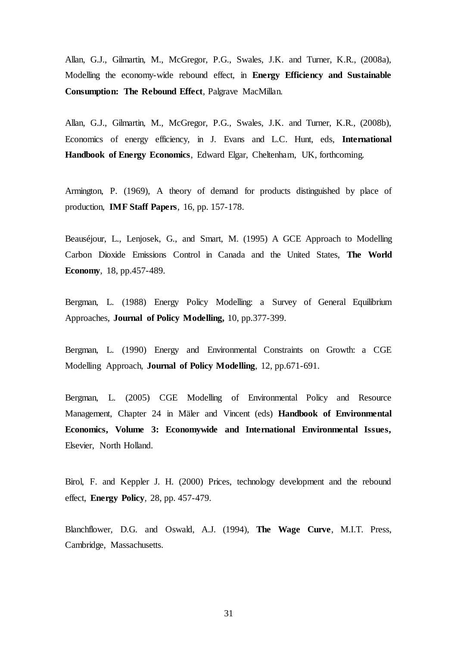Allan, G.J., Gilmartin, M., McGregor, P.G., Swales, J.K. and Turner, K.R., (2008a), Modelling the economy-wide rebound effect, in **Energy Efficiency and Sustainable Consumption: The Rebound Effect**, Palgrave MacMillan.

Allan, G.J., Gilmartin, M., McGregor, P.G., Swales, J.K. and Turner, K.R., (2008b), Economics of energy efficiency, in J. Evans and L.C. Hunt, eds, **International Handbook of Energy Economics**, Edward Elgar, Cheltenham, UK, forthcoming.

Armington, P. (1969), A theory of demand for products distinguished by place of production, **IMF Staff Papers**, 16, pp. 157-178.

Beauséjour, L., Lenjosek, G., and Smart, M. (1995) A GCE Approach to Modelling Carbon Dioxide Emissions Control in Canada and the United States, **The World Economy**, 18, pp.457-489.

Bergman, L. (1988) Energy Policy Modelling: a Survey of General Equilibrium Approaches, **Journal of Policy Modelling,** 10, pp.377-399.

Bergman, L. (1990) Energy and Environmental Constraints on Growth: a CGE Modelling Approach, **Journal of Policy Modelling**, 12, pp.671-691.

Bergman, L. (2005) CGE Modelling of Environmental Policy and Resource Management, Chapter 24 in Mäler and Vincent (eds) **Handbook of Environmental Economics, Volume 3: Economywide and International Environmental Issues,** Elsevier, North Holland.

Birol, F. and Keppler J. H. (2000) Prices, technology development and the rebound effect, **Energy Policy**, 28, pp. 457-479.

Blanchflower, D.G. and Oswald, A.J. (1994), **The Wage Curve**, M.I.T. Press, Cambridge, Massachusetts.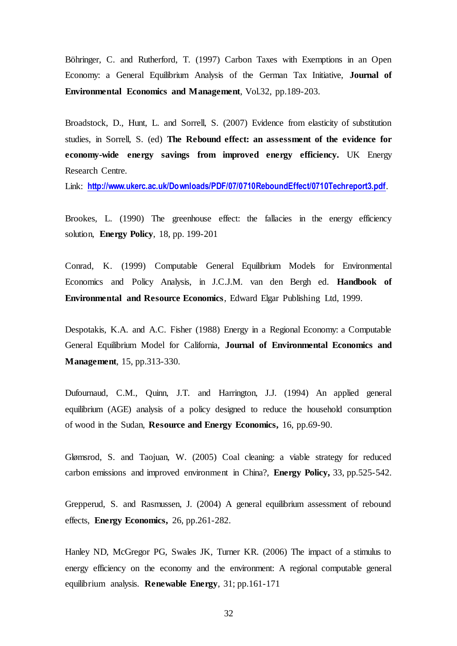Böhringer, C. and Rutherford, T. (1997) Carbon Taxes with Exemptions in an Open Economy: a General Equilibrium Analysis of the German Tax Initiative, **Journal of Environmental Economics and Management**, Vol.32, pp.189-203.

Broadstock, D., Hunt, L. and Sorrell, S. (2007) Evidence from elasticity of substitution studies, in Sorrell, S. (ed) **The Rebound effect: an assessment of the evidence for economy-wide energy savings from improved energy efficiency.** UK Energy Research Centre.

Link: **<http://www.ukerc.ac.uk/Downloads/PDF/07/0710ReboundEffect/0710Techreport3.pdf>**.

Brookes, L. (1990) The greenhouse effect: the fallacies in the energy efficiency solution, **Energy Policy**, 18, pp. 199-201

Conrad, K. (1999) Computable General Equilibrium Models for Environmental Economics and Policy Analysis, in J.C.J.M. van den Bergh ed. **Handbook of Environmental and Resource Economics**, Edward Elgar Publishing Ltd, 1999.

Despotakis, K.A. and A.C. Fisher (1988) Energy in a Regional Economy: a Computable General Equilibrium Model for California, **Journal of Environmental Economics and Management**, 15, pp.313-330.

Dufournaud, C.M., Quinn, J.T. and Harrington, J.J. (1994) An applied general equilibrium (AGE) analysis of a policy designed to reduce the household consumption of wood in the Sudan, **Resource and Energy Economics,** 16, pp.69-90.

Glømsrod, S. and Taojuan, W. (2005) Coal cleaning: a viable strategy for reduced carbon emissions and improved environment in China?, **Energy Policy,** 33, pp.525-542.

Grepperud, S. and Rasmussen, J. (2004) A general equilibrium assessment of rebound effects, **Energy Economics,** 26, pp.261-282.

Hanley ND, McGregor PG, Swales JK, Turner KR. (2006) The impact of a stimulus to energy efficiency on the economy and the environment: A regional computable general equilibrium analysis. **Renewable Energy**, 31; pp.161-171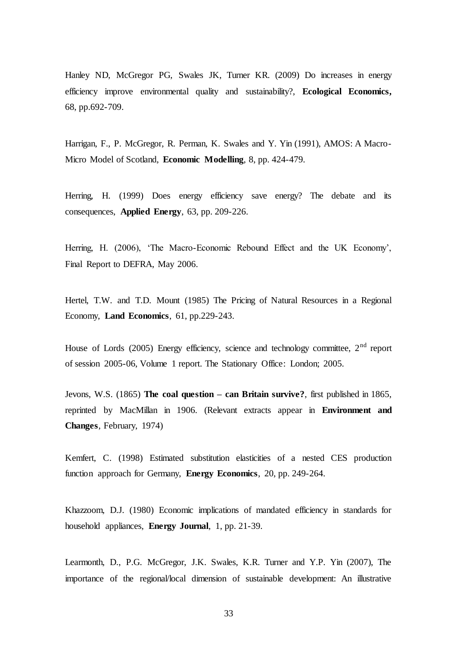Hanley ND, McGregor PG, Swales JK, Turner KR. (2009) Do increases in energy efficiency improve environmental quality and sustainability?, **Ecological Economics,**  68, pp.692-709.

Harrigan, F., P. McGregor, R. Perman, K. Swales and Y. Yin (1991), AMOS: A Macro-Micro Model of Scotland, **Economic Modelling**, 8, pp. 424-479.

Herring, H. (1999) Does energy efficiency save energy? The debate and its consequences, **Applied Energy**, 63, pp. 209-226.

Herring, H. (2006), 'The Macro-Economic Rebound Effect and the UK Economy', Final Report to DEFRA, May 2006.

Hertel, T.W. and T.D. Mount (1985) The Pricing of Natural Resources in a Regional Economy, **Land Economics**, 61, pp.229-243.

House of Lords (2005) Energy efficiency, science and technology committee,  $2<sup>nd</sup>$  report of session 2005-06, Volume 1 report. The Stationary Office: London; 2005.

Jevons, W.S. (1865) **The coal question – can Britain survive?**, first published in 1865, reprinted by MacMillan in 1906. (Relevant extracts appear in **Environment and Changes**, February, 1974)

Kemfert, C. (1998) Estimated substitution elasticities of a nested CES production function approach for Germany, **Energy Economics**, 20, pp. 249-264.

Khazzoom, D.J. (1980) Economic implications of mandated efficiency in standards for household appliances, **Energy Journal**, 1, pp. 21-39.

Learmonth, D., P.G. McGregor, J.K. Swales, K.R. Turner and Y.P. Yin (2007), The importance of the regional/local dimension of sustainable development: An illustrative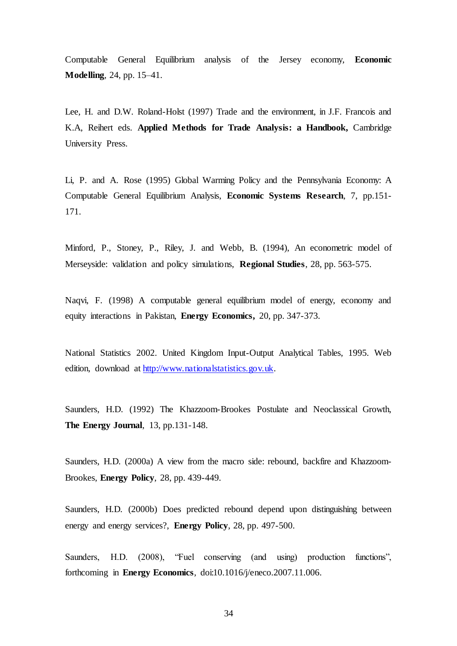Computable General Equilibrium analysis of the Jersey economy, **Economic Modelling**, 24, pp. 15–41.

Lee, H. and D.W. Roland-Holst (1997) Trade and the environment, in J.F. Francois and K.A, Reihert eds. **Applied Methods for Trade Analysis: a Handbook,** Cambridge University Press.

Li, P. and A. Rose (1995) Global Warming Policy and the Pennsylvania Economy: A Computable General Equilibrium Analysis, **Economic Systems Research**, 7, pp.151- 171.

Minford, P., Stoney, P., Riley, J. and Webb, B. (1994), An econometric model of Merseyside: validation and policy simulations, **Regional Studies**, 28, pp. 563-575.

Naqvi, F. (1998) A computable general equilibrium model of energy, economy and equity interactions in Pakistan, **Energy Economics,** 20, pp. 347-373.

National Statistics 2002. United Kingdom Input-Output Analytical Tables, 1995. Web edition, download at [http://www.nationalstatistics.gov.uk.](http://www.nationalstatistics.gov.uk/)

Saunders, H.D. (1992) The Khazzoom-Brookes Postulate and Neoclassical Growth, **The Energy Journal**, 13, pp.131-148.

Saunders, H.D. (2000a) A view from the macro side: rebound, backfire and Khazzoom-Brookes, **Energy Policy**, 28, pp. 439-449.

Saunders, H.D. (2000b) Does predicted rebound depend upon distinguishing between energy and energy services?, **Energy Policy**, 28, pp. 497-500.

Saunders, H.D. (2008), "Fuel conserving (and using) production functions", forthcoming in **Energy Economics**, doi:10.1016/j/eneco.2007.11.006.

34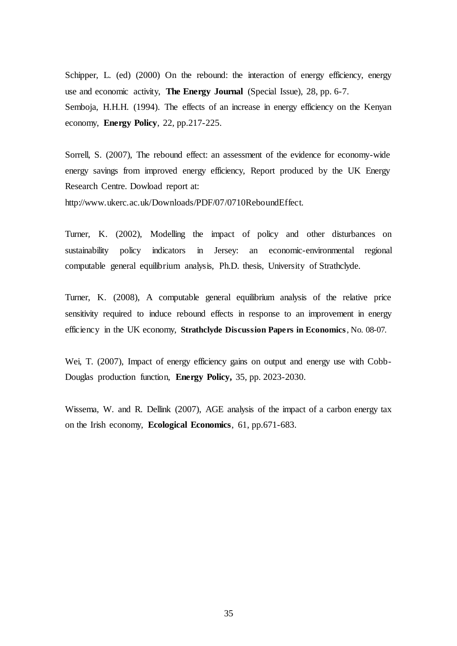Schipper, L. (ed) (2000) On the rebound: the interaction of energy efficiency, energy use and economic activity, **The Energy Journal** (Special Issue), 28, pp. 6-7. Semboja, H.H.H. (1994). The effects of an increase in energy efficiency on the Kenyan economy, **Energy Policy**, 22, pp.217-225.

Sorrell, S. (2007), The rebound effect: an assessment of the evidence for economy-wide energy savings from improved energy efficiency, Report produced by the UK Energy Research Centre. Dowload report at:

http://www.ukerc.ac.uk/Downloads/PDF/07/0710ReboundEffect.

Turner, K. (2002), Modelling the impact of policy and other disturbances on sustainability policy indicators in Jersey: an economic-environmental regional computable general equilibrium analysis, Ph.D. thesis, University of Strathclyde.

Turner, K. (2008), A computable general equilibrium analysis of the relative price sensitivity required to induce rebound effects in response to an improvement in energy efficiency in the UK economy, **Strathclyde Discussion Papers in Economics**, No. 08-07*.*

Wei, T. (2007), Impact of energy efficiency gains on output and energy use with Cobb-Douglas production function, **Energy Policy,** 35, pp. 2023-2030.

Wissema, W. and R. Dellink (2007), AGE analysis of the impact of a carbon energy tax on the Irish economy, **Ecological Economics**, 61, pp.671-683.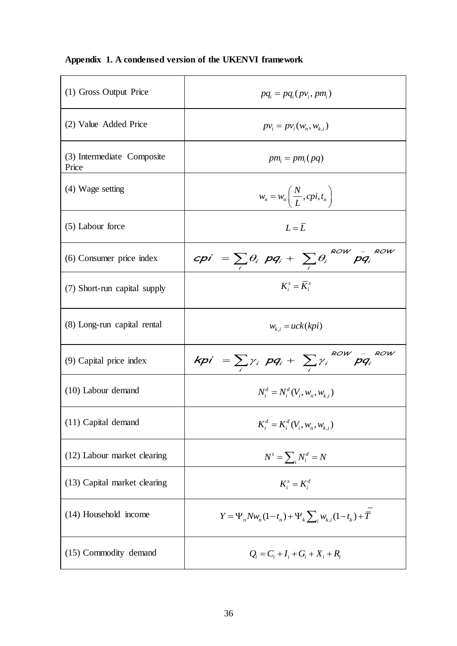# **Appendix 1. A condensed version of the UKENVI framework**

| (1) Gross Output Price              | $pq_i = pq_i (pv_i, pm_i)$                                                    |
|-------------------------------------|-------------------------------------------------------------------------------|
| (2) Value Added Price               | $pv_i = pv_i(w_n, w_{k,i})$                                                   |
| (3) Intermediate Composite<br>Price | $pm_i = pm_i(pq)$                                                             |
| (4) Wage setting                    | $w_n = w_n\left(\frac{N}{L}, cpi, t_n\right)$                                 |
| (5) Labour force                    | $L = \overline{L}$                                                            |
| (6) Consumer price index            | ROW<br>$cpi = \sum_{i} \theta_i$ $pq_i + \sum_{i} \theta_i^{ROM}$ $pq_i$      |
| (7) Short-run capital supply        | $K_i^s = \overline{K}_i^s$                                                    |
| (8) Long-run capital rental         | $w_{k,i} = uck(kpi)$                                                          |
| (9) Capital price index             | $kpi = \sum_i \gamma_i$ $pq_i + \sum_i \gamma_i^{ROW} pq_i^{LOW}$             |
| (10) Labour demand                  | $N_i^d = N_i^d(V_i, w_n, w_{k,i})$                                            |
| $(11)$ Capital demand               | $K_i^d = K_i^d(V_i, w_n, w_{k,i})$                                            |
| (12) Labour market clearing         | $N^s = \sum_i N_i^d = N$                                                      |
| (13) Capital market clearing        | $K_i^s = K_i^d$                                                               |
| (14) Household income               | $Y = \Psi_n N w_n (1 - t_n) + \Psi_k \sum_i w_{k,i} (1 - t_k) + \overline{T}$ |
| (15) Commodity demand               | $Q_i = C_i + I_i + G_i + X_i + R_i$                                           |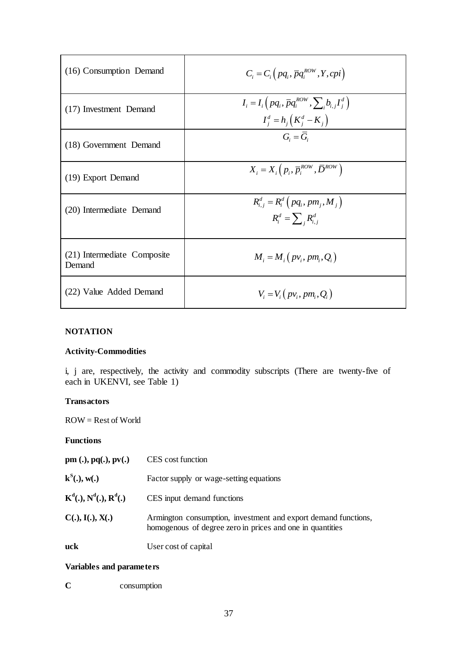| (16) Consumption Demand               | $C_i = C_i \left( p q_i, \overline{p} q_i^{Row}, Y, c p i \right)$                                     |
|---------------------------------------|--------------------------------------------------------------------------------------------------------|
| (17) Investment Demand                | $I_i = I_i\left(pq_i, \overline{pq}_i^{Row}, \sum_i b_{i,j}I_i^d\right)$<br>$I_j^d = h_j(K_j^d - K_j)$ |
| (18) Government Demand                | $G = \overline{G}$ .                                                                                   |
| (19) Export Demand                    | $X_i = X_i (p_i, \overline{p}_i^{ROW}, \overline{D}^{ROW})$                                            |
| (20) Intermediate Demand              | $R_{i,j}^d = R_i^d (pq_i, pm_j, M_j)$<br>$R_i^d = \sum_i R_{i,j}^d$                                    |
| (21) Intermediate Composite<br>Demand | $M_i = M_i (pv_i, pm_i, Q_i)$                                                                          |
| (22) Value Added Demand               | $V_i = V_i (pv_i, pm_i, Q_i)$                                                                          |

# **NOTATION**

## **Activity-Commodities**

i, j are, respectively, the activity and commodity subscripts (There are twenty-five of each in UKENVI, see Table 1)

# **Transactors**

ROW = Rest of World

# **Functions**

| $pm(.)$ , $pq(.)$ , $pv(.)$    | CES cost function                                                                                                           |
|--------------------------------|-----------------------------------------------------------------------------------------------------------------------------|
| $k^{S}(.)$ , w(.)              | Factor supply or wage-setting equations                                                                                     |
| $K^d(.)$ , $N^d(.)$ , $R^d(.)$ | CES input demand functions                                                                                                  |
| $C(.)$ , $I(.)$ , $X(.)$       | Armington consumption, investment and export demand functions,<br>homogenous of degree zero in prices and one in quantities |
| uck                            | User cost of capital                                                                                                        |

## **Variables and parameters**

**C** consumption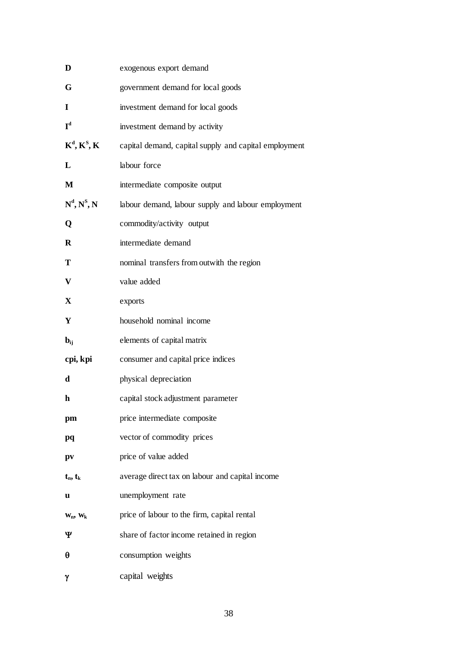| capital demand, capital supply and capital employment |
|-------------------------------------------------------|
|                                                       |
|                                                       |
| labour demand, labour supply and labour employment    |
|                                                       |
|                                                       |
|                                                       |
|                                                       |
|                                                       |
|                                                       |
|                                                       |
|                                                       |
|                                                       |
|                                                       |
|                                                       |
|                                                       |
|                                                       |
|                                                       |
|                                                       |
|                                                       |
|                                                       |
|                                                       |
|                                                       |
|                                                       |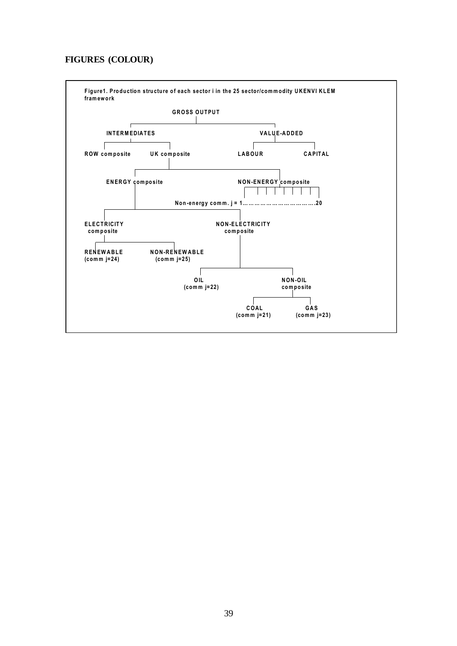# **FIGURES (COLOUR)**

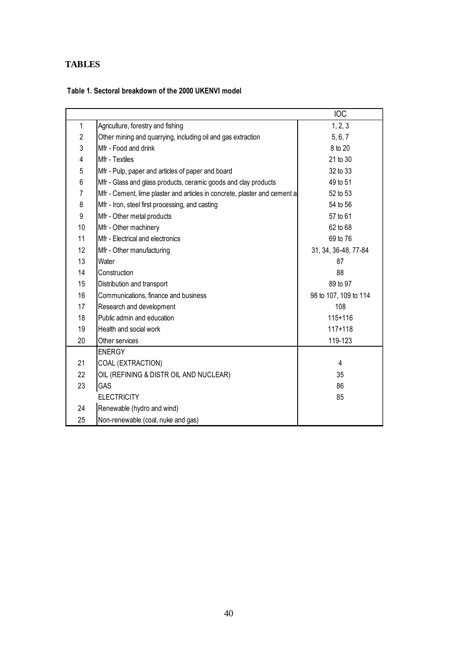# **TABLES**

# **Table 1. Sectoral breakdown of the 2000 UKENVI model**

|                |                                                                           | <b>IOC</b>            |
|----------------|---------------------------------------------------------------------------|-----------------------|
| $\mathbf{1}$   | Agriculture, forestry and fishing                                         | 1, 2, 3               |
| $\overline{2}$ | Other mining and quarrying, including oil and gas extraction              | 5, 6, 7               |
| 3              | Mfr - Food and drink                                                      | 8 to 20               |
| $\overline{4}$ | Mfr - Textiles                                                            | 21 to 30              |
| 5              | Mfr - Pulp, paper and articles of paper and board                         | 32 to 33              |
| 6              | Mfr - Glass and glass products, ceramic goods and clay products           | 49 to 51              |
| $\overline{7}$ | Mfr - Cement, lime plaster and articles in concrete, plaster and cement a | 52 to 53              |
| 8              | Mfr - Iron, steel first processing, and casting                           | 54 to 56              |
| 9              | Mfr - Other metal products                                                | 57 to 61              |
| 10             | Mfr - Other machinery                                                     | 62 to 68              |
| 11             | Mfr - Electrical and electronics                                          | 69 to 76              |
| 12             | Mfr - Other manufacturing                                                 | 31, 34, 36-48, 77-84  |
| 13             | Water                                                                     | 87                    |
| 14             | Construction                                                              | 88                    |
| 15             | Distribution and transport                                                | 89 to 97              |
| 16             | Communications, finance and business                                      | 98 to 107, 109 to 114 |
| 17             | Research and development                                                  | 108                   |
| 18             | Public admin and education                                                | $115+116$             |
| 19             | Health and social work                                                    | $117 + 118$           |
| 20             | Other services                                                            | 119-123               |
|                | <b>ENERGY</b>                                                             |                       |
| 21             | COAL (EXTRACTION)                                                         | 4                     |
| 22             | OIL (REFINING & DISTR OIL AND NUCLEAR)                                    | 35                    |
| 23             | GAS                                                                       | 86                    |
|                | <b>ELECTRICITY</b>                                                        | 85                    |
| 24             | Renewable (hydro and wind)                                                |                       |
| 25             | Non-renewable (coal, nuke and gas)                                        |                       |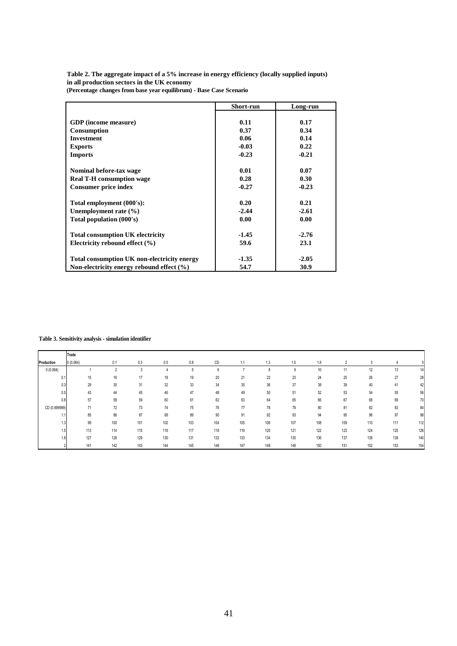**Table 2. The aggregate impact of a 5% increase in energy efficiency (locally supplied inputs) in all production sectors in the UK economy**

**(Percentage changes from base year equilibrum) - Base Case Scenario**

|                                                    | <b>Short-run</b> | Long-run |
|----------------------------------------------------|------------------|----------|
|                                                    |                  |          |
| <b>GDP</b> (income measure)                        | 0.11             | 0.17     |
| <b>Consumption</b>                                 | 0.37             | 0.34     |
| <b>Investment</b>                                  | 0.06             | 0.14     |
| <b>Exports</b>                                     | $-0.03$          | 0.22     |
| <b>Imports</b>                                     | $-0.23$          | $-0.21$  |
|                                                    |                  |          |
| Nominal before-tax wage                            | 0.01             | 0.07     |
| <b>Real T-H consumption wage</b>                   | 0.28             | 0.30     |
| <b>Consumer price index</b>                        | $-0.27$          | $-0.23$  |
|                                                    |                  |          |
| Total employment (000's):                          | 0.20             | 0.21     |
| Unemployment rate (%)                              | $-2.44$          | $-2.61$  |
| Total population (000's)                           | 0.00             | 0.00     |
|                                                    |                  |          |
| <b>Total consumption UK electricity</b>            | $-1.45$          | $-2.76$  |
| Electricity rebound effect (%)                     | 59.6             | 23.1     |
|                                                    |                  |          |
| <b>Total consumption UK non-electricity energy</b> | $-1.35$          | $-2.05$  |
| Non-electricity energy rebound effect $(\% )$      | 54.7             | 30.9     |

#### **Table 3. Sensitivity analysis - simulation identifier**

|               | Trade    |     |     |     |     |     |     |     |     |     |            |     |     |     |
|---------------|----------|-----|-----|-----|-----|-----|-----|-----|-----|-----|------------|-----|-----|-----|
| Production    | 0(0.064) | 0.1 | 0.3 | 0.5 | 0.8 | CD  | 1.1 | 1.3 | 1.5 | 1.8 | $\sqrt{2}$ |     |     |     |
| 0(0.064)      |          |     |     |     |     | 6   |     | 8   |     | 10  | 11         | 12  | 13  | 14  |
| 0.1           | 15       | 16  | 17  | 18  | 19  | 20  | 21  | 22  | 23  | 24  | 25         | 26  | 27  | 28  |
| 0.3           | 29       | 30  | 31  | 32  | 33  | 34  | 35  | 36  | 37  | 38  | 39         | 40  | 41  | 42  |
| 0.5           | 43       | 44  | 45  | 46  | 47  | 48  | 49  | 50  | 51  | 52  | 53         | 54  | 55  | 56  |
| 0.8           | 57       | 58  | 59  | 60  | 61  | 62  | 63  | 64  | 65  | 66  | 67         | 68  | 69  | 70  |
| CD (0.999999) | 71       | 72  | 73  | 74  | 75  | 76  | 77  | 78  | 79  | 80  | 81         | 82  | 83  | 84  |
| 1.1           | 85       | 86  | 87  | 88  | 89  | 90  | 91  | 92  | 93  | 94  | 95         | 96  | 97  | 98  |
| 1.3           | 99       | 100 | 101 | 102 | 103 | 104 | 105 | 106 | 107 | 108 | 109        | 110 | 111 | 112 |
| 1.5           | 113      | 114 | 115 | 116 | 117 | 118 | 119 | 120 | 121 | 122 | 123        | 124 | 125 | 126 |
| 1.8           | 127      | 128 | 129 | 130 | 131 | 132 | 133 | 134 | 135 | 136 | 137        | 138 | 139 | 140 |
|               | 141      | 142 | 143 | 144 | 145 | 146 | 147 | 148 | 149 | 150 | 151        | 152 | 153 | 154 |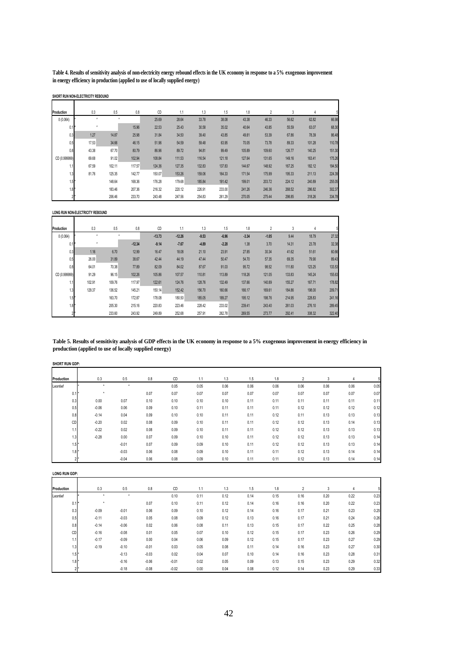**Table 4. Results of sensitivity analysis of non-electricity energy rebound effects in the UK economy in response to a 5% exogenous improvement in energy efficiency in production (applied to use of locally supplied energy)** 

**SHORT RUN NON-ELECTRICITY REBOUND**

| Production         | 0.3     | 0.5    | 0.8    | CD     | 1.1    | 1.3    | 1.5    | 1.8    | 2      | 3      | 4      | 51     |
|--------------------|---------|--------|--------|--------|--------|--------|--------|--------|--------|--------|--------|--------|
| 0(0.064)           | $\star$ | ÷      |        | 25.69  | 28.64  | 33.78  | 38.08  | 43.38  | 46.33  | 56.62  | 62.82  | 66.98  |
| 0.1                | $\star$ |        | 15.96  | 22.53  | 25.43  | 30.58  | 35.02  | 40.64  | 43.85  | 55.59  | 63.07  | 68.30  |
| 0.3                | 1.27    | 14.87  | 25.98  | 31.84  | 34.50  | 39.40  | 43.85  | 49.81  | 53.39  | 67.86  | 78.39  | 86.48  |
| 0.5                | 17.53   | 34.66  | 46.15  | 51.96  | 54.59  | 59.48  | 63.95  | 70.05  | 73.78  | 89.33  | 101.28 | 110.78 |
| 0.8                | 43.38   | 67.70  | 80.79  | 86.96  | 89.72  | 94.81  | 99.49  | 105.89 | 109.60 | 126.77 | 140.25 | 151.30 |
| CD (0.999999)      | 69.68   | 91.02  | 102.94 | 108.84 | 111.53 | 116.54 | 121.18 | 127.64 | 131.65 | 149.16 | 163.41 | 175.26 |
| 1.1                | 67.59   | 102.11 | 117.57 | 124.36 | 127.35 | 132.83 | 137.83 | 144.67 | 148.92 | 167.25 | 182.12 | 194.50 |
| 1.3                | 81.76   | 125.35 | 142.77 | 150.07 | 153.26 | 159.06 | 164.33 | 171.54 | 175.99 | 195.33 | 211.13 | 224.39 |
| $1.5$ <sup>*</sup> |         | 148.64 | 168.36 | 176.28 | 179.68 | 185.84 | 191.42 | 199.01 | 203.72 | 224.12 | 240.89 | 255.05 |
| $1.8$ <sup>*</sup> |         | 183.46 | 207.36 | 216.32 | 220.12 | 226.91 | 233.00 | 241.26 | 246.36 | 268.52 | 286.82 | 302.37 |
| 2 <sup>1</sup>     |         | 206.46 | 233.70 | 243.48 | 247.56 | 254.83 | 261.29 | 270.05 | 275.44 | 298.85 | 318.26 | 334.78 |

#### **LONG RUN NON-ELECTRICITY REBOUND**

| Production    | 0.3            | 0.5     | 0.8      | CD       | 1.1      | 1.3     | 1.5     | 1.8     | 2       | 3      | 4      |        |
|---------------|----------------|---------|----------|----------|----------|---------|---------|---------|---------|--------|--------|--------|
| 0(0.064)      |                |         | $\star$  | $-13.73$ | $-12.26$ | $-9.53$ | $-6.96$ | $-3.34$ | $-1.05$ | 9.44   | 18.79  | 27.32  |
| 0.1           |                | $\star$ | $-12.34$ | $-9.14$  | $-7.67$  | $-4.89$ | $-2.28$ | 1.38    | 3.70    | 14.31  | 23.78  | 32.38  |
| 0.3           | 1.16           | 6.70    | 12.99    | 16.47    | 18.08    | 21.10   | 23.91   | 27.85   | 30.34   | 41.62  | 51.61  | 60.66  |
| 0.5           | 26.00          | 31.89   | 38.67    | 42.44    | 44.19    | 47.44   | 50.47   | 54.70   | 57.35   | 69.35  | 79.90  | 89.43  |
| 0.8           | 64.01          | 70.38   | 77.89    | 82.09    | 84.02    | 87.67   | 91.03   | 95.72   | 98.52   | 111.80 | 123.25 | 133.53 |
| CD (0.999999) | 91.29          | 96.15   | 102.26   | 105.86   | 107.57   | 110.81  | 113.89  | 118.26  | 121.05  | 133.83 | 145.24 | 155.63 |
| 1.1           | 102.91         | 109.76  | 117.97   | 122.61   | 124.76   | 128.76  | 132.49  | 137.66  | 140.89  | 155.27 | 167.71 | 178.82 |
| 1.3           | 129.37         | 136.52  | 145.21   | 150.14   | 152.42   | 156.70  | 160.66  | 166.17  | 169.61  | 184.86 | 198.00 | 209.71 |
| 1.5           |                | 163.70  | 172.87   | 178.08   | 180.50   | 185.05  | 189.27  | 195.12  | 198.76  | 214.95 | 228.83 | 241.16 |
| 1.8           |                | 205.30  | 215.16   | 220.83   | 223.46   | 228.42  | 233.02  | 239.41  | 243.40  | 261.03 | 276.10 | 289.45 |
|               | 2 <sup>1</sup> | 233.60  | 243.92   | 249.89   | 252.68   | 257.91  | 262.78  | 269.55  | 273.77  | 292.41 | 308.32 | 322.40 |

#### **Table 5. Results of sensitivity analysis of GDP effects in the UK economy in response to a 5% exogenous improvement in energy efficiency in production (applied to use of locally supplied energy)**

|            | <b>SHORT RUN GDP:</b> |         |         |      |      |      |      |      |      |                |      |      |      |  |  |
|------------|-----------------------|---------|---------|------|------|------|------|------|------|----------------|------|------|------|--|--|
| Production |                       | 0.3     | 0.5     | 0.8  | CD   | 1.1  | 1.3  | 1.5  | 1.8  | $\overline{2}$ | 3    | 4    | 5    |  |  |
| Leontief   |                       |         | ٠       |      | 0.05 | 0.05 | 0.06 | 0.06 | 0.06 | 0.06           | 0.06 | 0.06 | 0.05 |  |  |
|            | 0.1                   | ٠       |         | 0.07 | 0.07 | 0.07 | 0.07 | 0.07 | 0.07 | 0.07           | 0.07 | 0.07 | 0.07 |  |  |
|            | 0.3                   | 0.00    | 0.07    | 0.10 | 0.10 | 0.10 | 0.10 | 0.11 | 0.11 | 0.11           | 0.11 | 0.11 | 0.11 |  |  |
|            | 0.5                   | $-0.06$ | 0.06    | 0.09 | 0.10 | 0.11 | 0.11 | 0.11 | 0.11 | 0.12           | 0.12 | 0.12 | 0.12 |  |  |
|            | 0.8                   | $-0.14$ | 0.04    | 0.09 | 0.10 | 0.10 | 0.11 | 0.11 | 0.12 | 0.11           | 0.13 | 0.13 | 0.13 |  |  |
|            | CD                    | $-0.20$ | 0.02    | 0.08 | 0.09 | 0.10 | 0.11 | 0.11 | 0.12 | 0.12           | 0.13 | 0.14 | 0.13 |  |  |
|            | 1.1                   | $-0.22$ | 0.02    | 0.08 | 0.09 | 0.10 | 0.11 | 0.11 | 0.12 | 0.12           | 0.13 | 0.13 | 0.13 |  |  |
|            | 1.3                   | $-0.28$ | 0.00    | 0.07 | 0.09 | 0.10 | 0.10 | 0.11 | 0.12 | 0.12           | 0.13 | 0.13 | 0.14 |  |  |
|            | $1.5$ <sup>*</sup>    |         | $-0.01$ | 0.07 | 0.09 | 0.09 | 0.10 | 0.11 | 0.12 | 0.12           | 0.13 | 0.13 | 0.14 |  |  |
|            | 1.8                   |         | $-0.03$ | 0.06 | 0.08 | 0.09 | 0.10 | 0.11 | 0.11 | 0.12           | 0.13 | 0.14 | 0.14 |  |  |
|            | $2^*$                 |         | $-0.04$ | 0.06 | 0.08 | 0.09 | 0.10 | 0.11 | 0.11 | 0.12           | 0.13 | 0.14 | 0.14 |  |  |

| <b>LONG RUN GDP:</b> |                    |         |         |         |         |      |      |      |      |                |      |      |      |
|----------------------|--------------------|---------|---------|---------|---------|------|------|------|------|----------------|------|------|------|
| Production           |                    | 0.3     | 0.5     | 0.8     | CD      | 1.1  | 1.3  | 1.5  | 1.8  | $\overline{c}$ | 3    | 4    |      |
| Leontief             |                    |         |         |         | 0.10    | 0.11 | 0.12 | 0.14 | 0.15 | 0.16           | 0.20 | 0.22 | 0.23 |
|                      | 0.1                | ۰       |         | 0.07    | 0.10    | 0.11 | 0.12 | 0.14 | 0.16 | 0.16           | 0.20 | 0.22 | 0.23 |
|                      | 0.3                | $-0.09$ | $-0.01$ | 0.06    | 0.09    | 0.10 | 0.12 | 0.14 | 0.16 | 0.17           | 0.21 | 0.23 | 0.25 |
|                      | 0.5                | $-0.11$ | $-0.03$ | 0.05    | 0.08    | 0.09 | 0.12 | 0.13 | 0.16 | 0.17           | 0.21 | 0.24 | 0.26 |
|                      | 0.8                | $-0.14$ | $-0.06$ | 0.02    | 0.06    | 0.08 | 0.11 | 0.13 | 0.15 | 0.17           | 0.22 | 0.25 | 0.28 |
|                      | CD                 | $-0.16$ | $-0.08$ | 0.01    | 0.05    | 0.07 | 0.10 | 0.12 | 0.15 | 0.17           | 0.23 | 0.26 | 0.29 |
|                      | 1.1                | $-0.17$ | $-0.09$ | 0.00    | 0.04    | 0.06 | 0.09 | 0.12 | 0.15 | 0.17           | 0.23 | 0.27 | 0.29 |
|                      | 1.3                | $-0.19$ | $-0.10$ | $-0.01$ | 0.03    | 0.05 | 0.08 | 0.11 | 0.14 | 0.16           | 0.23 | 0.27 | 0.30 |
|                      | 1.5                |         | $-0.13$ | $-0.03$ | 0.02    | 0.04 | 0.07 | 0.10 | 0.14 | 0.16           | 0.23 | 0.28 | 0.31 |
|                      | $1.8$ <sup>*</sup> |         | $-0.16$ | $-0.06$ | $-0.01$ | 0.02 | 0.05 | 0.09 | 0.13 | 0.15           | 0.23 | 0.29 | 0.32 |
|                      | $2^{\circ}$        |         | $-0.18$ | $-0.08$ | $-0.02$ | 0.00 | 0.04 | 0.08 | 0.12 | 0.14           | 0.23 | 0.29 | 0.33 |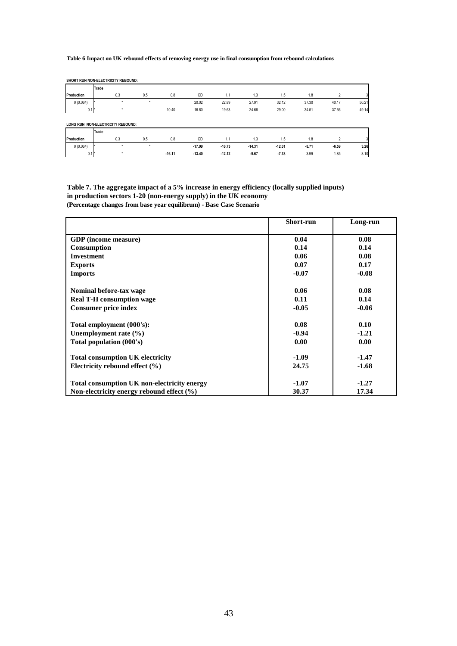#### **Table 6 Impact on UK rebound effects of removing energy use in final consumption from rebound calculations**

| SHORT RUN NON-ELECTRICITY REBOUND: |       |         |     |          |           |          |          |          |         |         |       |
|------------------------------------|-------|---------|-----|----------|-----------|----------|----------|----------|---------|---------|-------|
|                                    | Trade |         |     |          |           |          |          |          |         |         |       |
| Production                         |       | 0.3     | 0.5 | 0.8      | <b>CD</b> | 1.1      | 1.3      | 1.5      | 1.8     | 2       | 3     |
| 0(0.064)                           |       | ٠       | ٠   |          | 20.02     | 22.89    | 27.91    | 32.12    | 37.30   | 40.17   | 50.21 |
| 0.1                                |       | ٠       |     | 10.40    | 16.80     | 19.63    | 24.66    | 29.00    | 34.51   | 37.66   | 49.14 |
| LONG RUN NON-ELECTRICITY REBOUND:  | Trade |         |     |          |           |          |          |          |         |         |       |
| Production                         |       | 0.3     | 0.5 | 0.8      | CD        | 1.1      | 1.3      | 1.5      | 1.8     | ↑       | 3     |
| 0(0.064)                           |       |         |     |          | $-17.99$  | $-16.73$ | $-14.31$ | $-12.01$ | $-8.71$ | $-6.59$ | 3.26  |
| 0.1                                |       | $\star$ |     | $-16.11$ | $-13.40$  | $-12.12$ | $-9.67$  | $-7.33$  | $-3.99$ | $-1.85$ | 8.10  |

**Table 7. The aggregate impact of a 5% increase in energy efficiency (locally supplied inputs) in production sectors 1-20 (non-energy supply) in the UK economy (Percentage changes from base year equilibrum) - Base Case Scenario**

|                                                    | Short-run | Long-run |
|----------------------------------------------------|-----------|----------|
| <b>GDP</b> (income measure)                        | 0.04      | 0.08     |
|                                                    |           |          |
| <b>Consumption</b>                                 | 0.14      | 0.14     |
| <b>Investment</b>                                  | 0.06      | 0.08     |
| <b>Exports</b>                                     | 0.07      | 0.17     |
| <b>Imports</b>                                     | $-0.07$   | $-0.08$  |
| Nominal before-tax wage                            | 0.06      | 0.08     |
| <b>Real T-H</b> consumption wage                   | 0.11      | 0.14     |
| <b>Consumer price index</b>                        | $-0.05$   | $-0.06$  |
| Total employment (000's):                          | 0.08      | 0.10     |
| Unemployment rate $(\% )$                          | $-0.94$   | $-1.21$  |
| Total population (000's)                           | 0.00      | 0.00     |
| <b>Total consumption UK electricity</b>            | $-1.09$   | $-1.47$  |
| Electricity rebound effect $(\% )$                 | 24.75     | $-1.68$  |
| <b>Total consumption UK non-electricity energy</b> | $-1.07$   | $-1.27$  |
| Non-electricity energy rebound effect $(\% )$      | 30.37     | 17.34    |